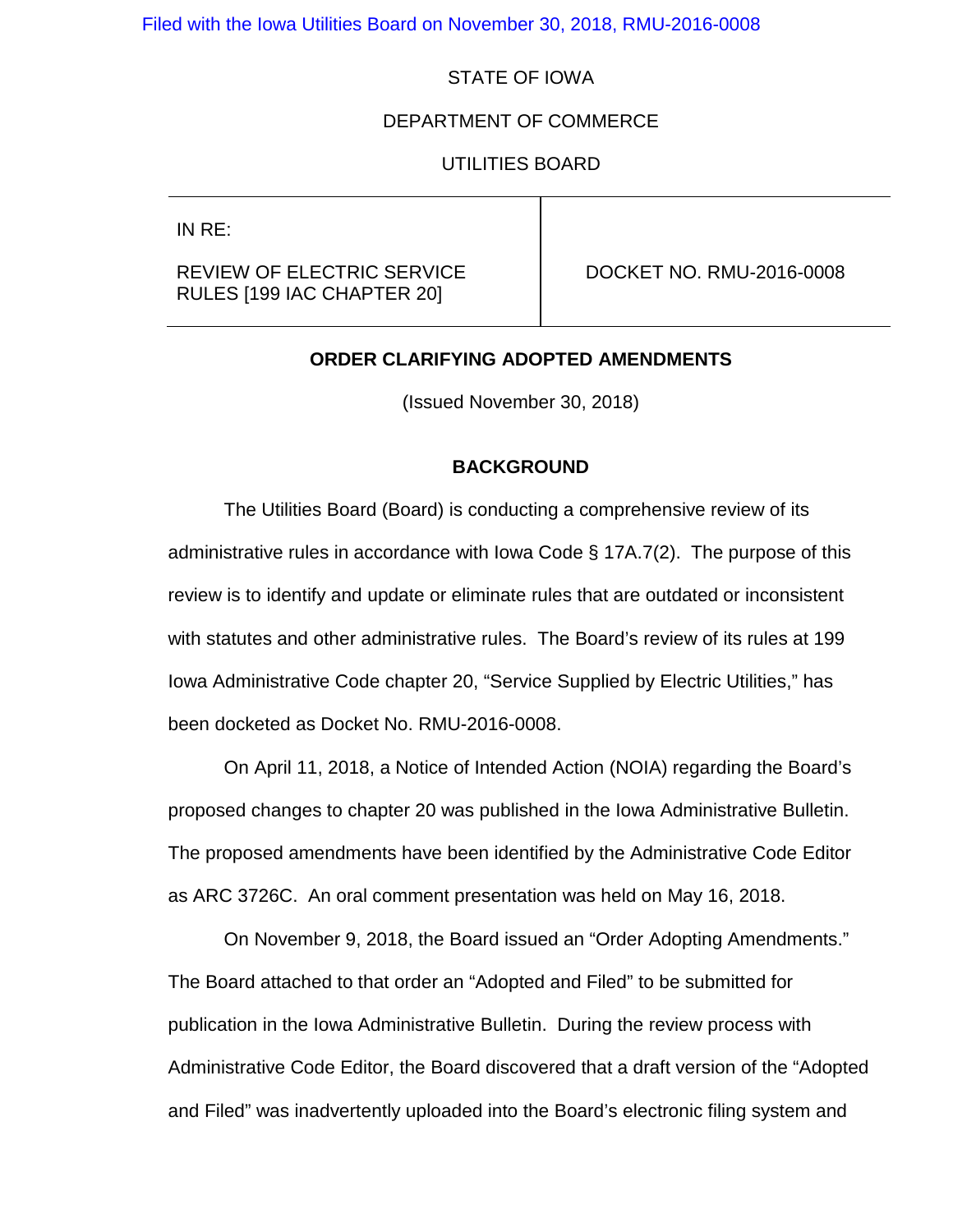## STATE OF IOWA

#### DEPARTMENT OF COMMERCE

#### UTILITIES BOARD

IN RE:

## REVIEW OF ELECTRIC SERVICE RULES [199 IAC CHAPTER 20]

DOCKET NO. RMU-2016-0008

#### **ORDER CLARIFYING ADOPTED AMENDMENTS**

(Issued November 30, 2018)

#### **BACKGROUND**

The Utilities Board (Board) is conducting a comprehensive review of its administrative rules in accordance with Iowa Code § 17A.7(2). The purpose of this review is to identify and update or eliminate rules that are outdated or inconsistent with statutes and other administrative rules. The Board's review of its rules at 199 Iowa Administrative Code chapter 20, "Service Supplied by Electric Utilities," has been docketed as Docket No. RMU-2016-0008.

On April 11, 2018, a Notice of Intended Action (NOIA) regarding the Board's proposed changes to chapter 20 was published in the Iowa Administrative Bulletin. The proposed amendments have been identified by the Administrative Code Editor as ARC 3726C. An oral comment presentation was held on May 16, 2018.

On November 9, 2018, the Board issued an "Order Adopting Amendments." The Board attached to that order an "Adopted and Filed" to be submitted for publication in the Iowa Administrative Bulletin. During the review process with Administrative Code Editor, the Board discovered that a draft version of the "Adopted and Filed" was inadvertently uploaded into the Board's electronic filing system and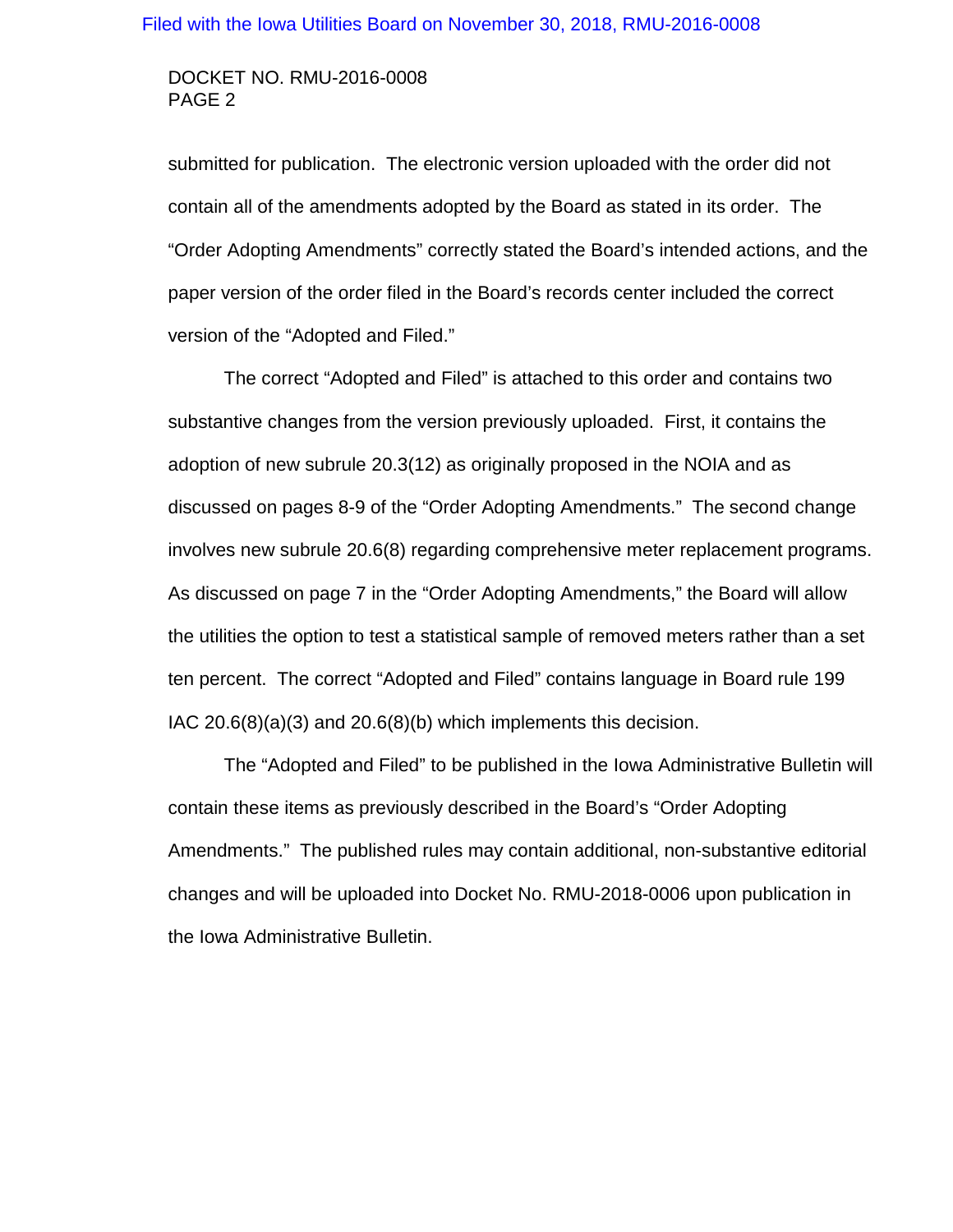## DOCKET NO. RMU-2016-0008 PAGE 2

submitted for publication. The electronic version uploaded with the order did not contain all of the amendments adopted by the Board as stated in its order. The "Order Adopting Amendments" correctly stated the Board's intended actions, and the paper version of the order filed in the Board's records center included the correct version of the "Adopted and Filed."

The correct "Adopted and Filed" is attached to this order and contains two substantive changes from the version previously uploaded. First, it contains the adoption of new subrule 20.3(12) as originally proposed in the NOIA and as discussed on pages 8-9 of the "Order Adopting Amendments." The second change involves new subrule 20.6(8) regarding comprehensive meter replacement programs. As discussed on page 7 in the "Order Adopting Amendments," the Board will allow the utilities the option to test a statistical sample of removed meters rather than a set ten percent. The correct "Adopted and Filed" contains language in Board rule 199 IAC 20.6(8)(a)(3) and 20.6(8)(b) which implements this decision.

The "Adopted and Filed" to be published in the Iowa Administrative Bulletin will contain these items as previously described in the Board's "Order Adopting Amendments." The published rules may contain additional, non-substantive editorial changes and will be uploaded into Docket No. RMU-2018-0006 upon publication in the Iowa Administrative Bulletin.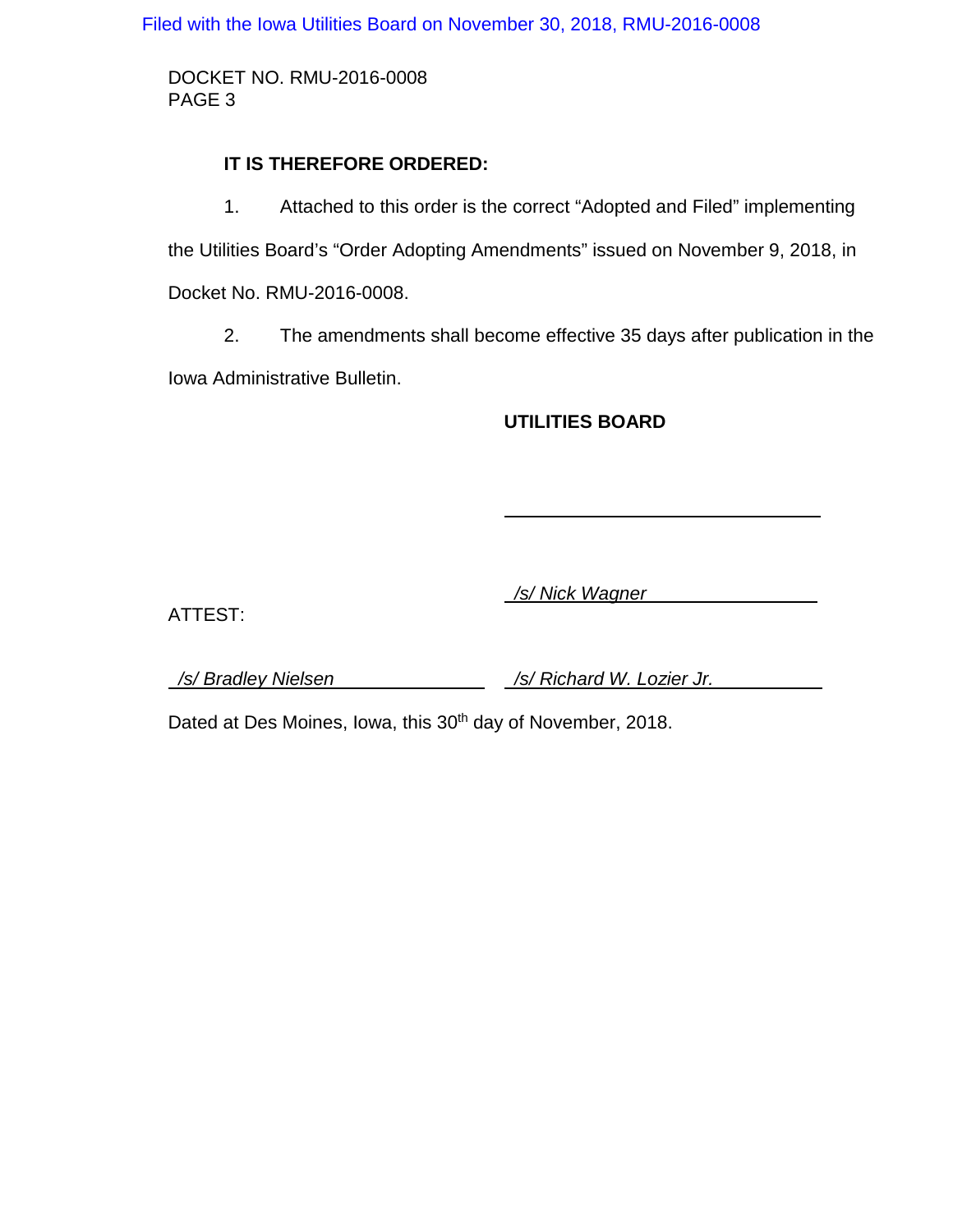DOCKET NO. RMU-2016-0008 PAGE 3

## **IT IS THEREFORE ORDERED:**

1. Attached to this order is the correct "Adopted and Filed" implementing the Utilities Board's "Order Adopting Amendments" issued on November 9, 2018, in Docket No. RMU-2016-0008.

2. The amendments shall become effective 35 days after publication in the Iowa Administrative Bulletin.

## **UTILITIES BOARD**

 */s/ Nick Wagner* 

ATTEST:

 */s/ Bradley Nielsen /s/ Richard W. Lozier Jr.* 

Dated at Des Moines, Iowa, this 30<sup>th</sup> day of November, 2018.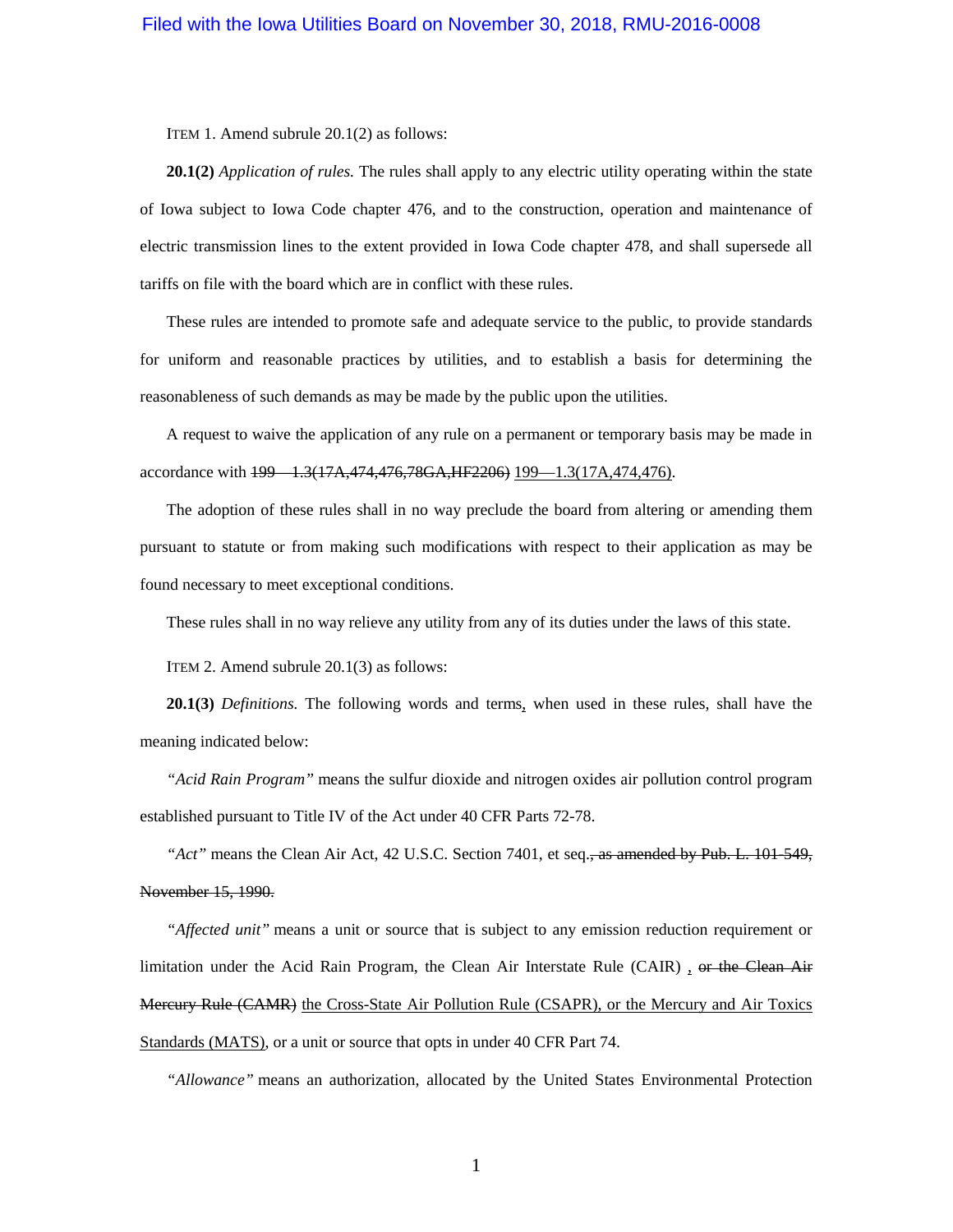ITEM 1. Amend subrule 20.1(2) as follows:

**20.1(2)** *Application of rules.* The rules shall apply to any electric utility operating within the state of Iowa subject to Iowa Code chapter [476,](https://www.legis.iowa.gov/docs/ico/chapter/476.pdf) and to the construction, operation and maintenance of electric transmission lines to the extent provided in Iowa Code chapter [478,](https://www.legis.iowa.gov/docs/ico/chapter/478.pdf) and shall supersede all tariffs on file with the board which are in conflict with these rules.

These rules are intended to promote safe and adequate service to the public, to provide standards for uniform and reasonable practices by utilities, and to establish a basis for determining the reasonableness of such demands as may be made by the public upon the utilities.

A request to waive the application of any rule on a permanent or temporary basis may be made in accordance with 199 - 1.3(17A, 474, 476, 78GA, HF 2206) 199 - 1.3(17A, 474, 476).

The adoption of these rules shall in no way preclude the board from altering or amending them pursuant to statute or from making such modifications with respect to their application as may be found necessary to meet exceptional conditions.

These rules shall in no way relieve any utility from any of its duties under the laws of this state.

ITEM 2. Amend subrule 20.1(3) as follows:

**20.1(3)** *Definitions.* The following words and terms, when used in these rules, shall have the meaning indicated below:

*"Acid Rain Program"* means the sulfur dioxide and nitrogen oxides air pollution control program established pursuant to Title IV of the Act under 40 CFR Parts 72-78.

"Act" means the Clean Air Act, 42 U.S.C. Section 7401, et seq., as amended by Pub. L. 101-549, November 15, 1990.

*"Affected unit"* means a unit or source that is subject to any emission reduction requirement or limitation under the Acid Rain Program, the Clean Air Interstate Rule (CAIR), or the Clean Air Mercury Rule (CAMR) the Cross-State Air Pollution Rule (CSAPR), or the Mercury and Air Toxics Standards (MATS), or a unit or source that opts in under 40 CFR Part 74.

*"Allowance"* means an authorization, allocated by the United States Environmental Protection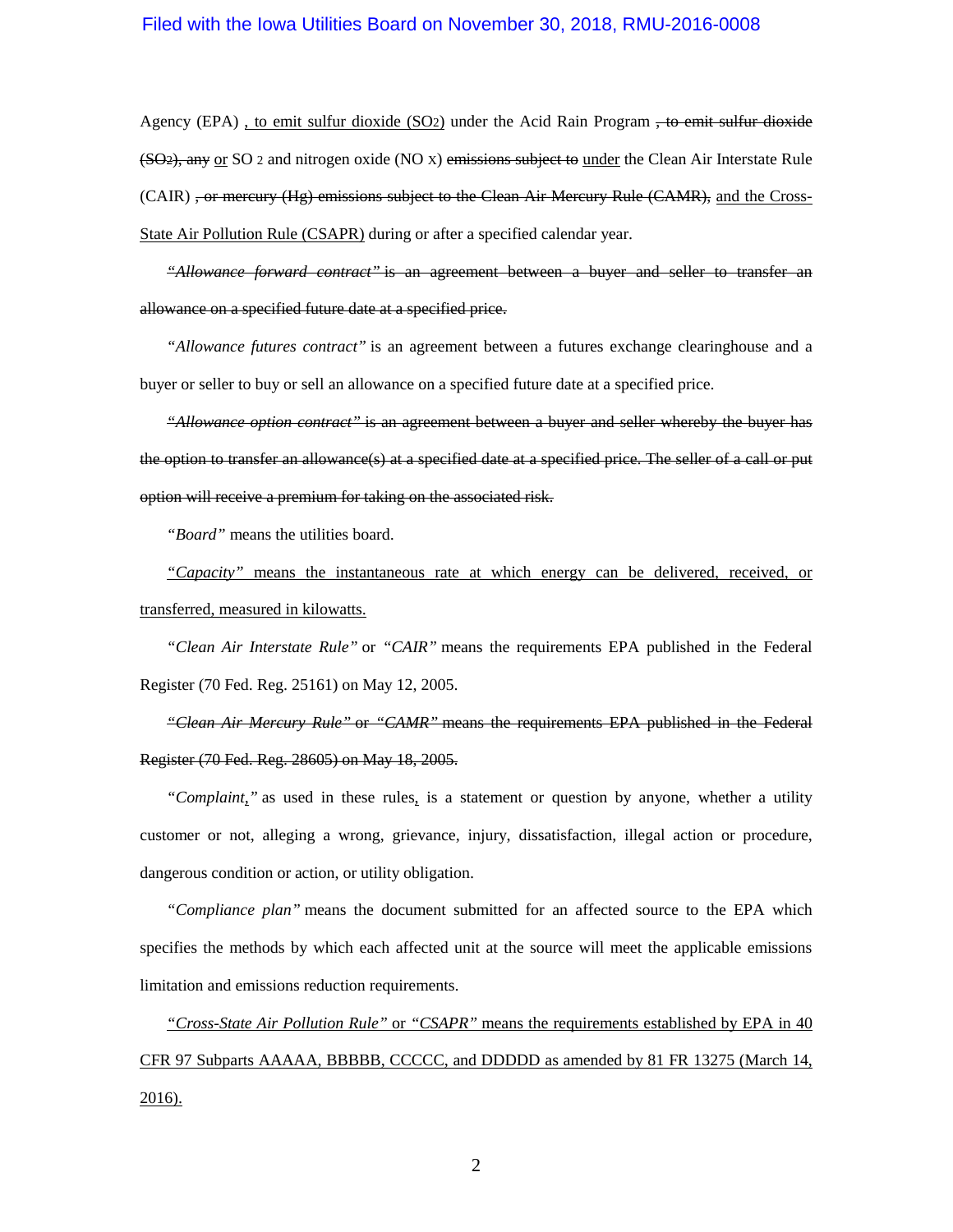Agency (EPA), to emit sulfur dioxide (SO2) under the Acid Rain Program, to emit sulfur dioxide (SO2), any or SO 2 and nitrogen oxide (NO X) emissions subject to under the Clean Air Interstate Rule (CAIR) <del>, or mercury (Hg) emissions subject to the Clean Air Mercury Rule (CAMR),</del> and the Cross-State Air Pollution Rule (CSAPR) during or after a specified calendar year.

*"Allowance forward contract"* is an agreement between a buyer and seller to transfer an allowance on a specified future date at a specified price.

*"Allowance futures contract"* is an agreement between a futures exchange clearinghouse and a buyer or seller to buy or sell an allowance on a specified future date at a specified price.

*"Allowance option contract"* is an agreement between a buyer and seller whereby the buyer has the option to transfer an allowance(s) at a specified date at a specified price. The seller of a call or put option will receive a premium for taking on the associated risk.

*"Board"* means the utilities board.

*"Capacity"* means the instantaneous rate at which energy can be delivered, received, or transferred, measured in kilowatts.

*"Clean Air Interstate Rule"* or *"CAIR"* means the requirements EPA published in the Federal Register (70 Fed. Reg. 25161) on May 12, 2005.

*"Clean Air Mercury Rule"* or *"CAMR"* means the requirements EPA published in the Federal Register (70 Fed. Reg. 28605) on May 18, 2005.

*"Complaint,"* as used in these rules, is a statement or question by anyone, whether a utility customer or not, alleging a wrong, grievance, injury, dissatisfaction, illegal action or procedure, dangerous condition or action, or utility obligation.

*"Compliance plan"* means the document submitted for an affected source to the EPA which specifies the methods by which each affected unit at the source will meet the applicable emissions limitation and emissions reduction requirements.

*"Cross-State Air Pollution Rule"* or *"CSAPR"* means the requirements established by EPA in 40 CFR 97 Subparts AAAAA, BBBBB, CCCCC, and DDDDD as amended by 81 FR 13275 (March 14, 2016).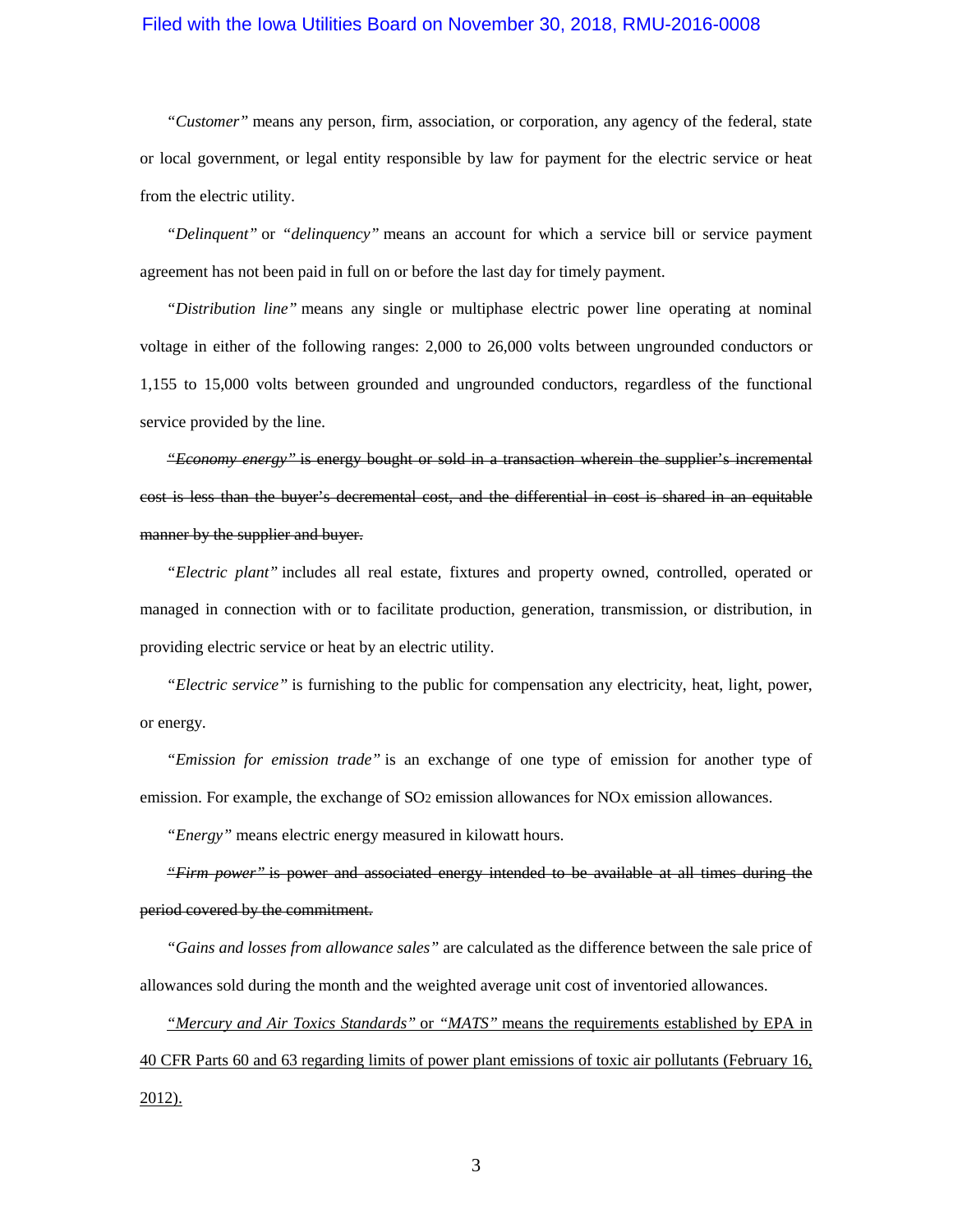*"Customer"* means any person, firm, association, or corporation, any agency of the federal, state or local government, or legal entity responsible by law for payment for the electric service or heat from the electric utility.

*"Delinquent"* or *"delinquency"* means an account for which a service bill or service payment agreement has not been paid in full on or before the last day for timely payment.

*"Distribution line"* means any single or multiphase electric power line operating at nominal voltage in either of the following ranges: 2,000 to 26,000 volts between ungrounded conductors or 1,155 to 15,000 volts between grounded and ungrounded conductors, regardless of the functional service provided by the line.

*"Economy energy"* is energy bought or sold in a transaction wherein the supplier's incremental cost is less than the buyer's decremental cost, and the differential in cost is shared in an equitable manner by the supplier and buyer.

*"Electric plant"* includes all real estate, fixtures and property owned, controlled, operated or managed in connection with or to facilitate production, generation, transmission, or distribution, in providing electric service or heat by an electric utility.

*"Electric service"* is furnishing to the public for compensation any electricity, heat, light, power, or energy.

*"Emission for emission trade"* is an exchange of one type of emission for another type of emission. For example, the exchange of SO<sub>2</sub> emission allowances for NO<sub>X</sub> emission allowances.

*"Energy"* means electric energy measured in kilowatt hours.

*"Firm power"* is power and associated energy intended to be available at all times during the period covered by the commitment.

*"Gains and losses from allowance sales"* are calculated as the difference between the sale price of allowances sold during the month and the weighted average unit cost of inventoried allowances.

*"Mercury and Air Toxics Standards"* or *"MATS"* means the requirements established by EPA in 40 CFR Parts 60 and 63 regarding limits of power plant emissions of toxic air pollutants (February 16, 2012).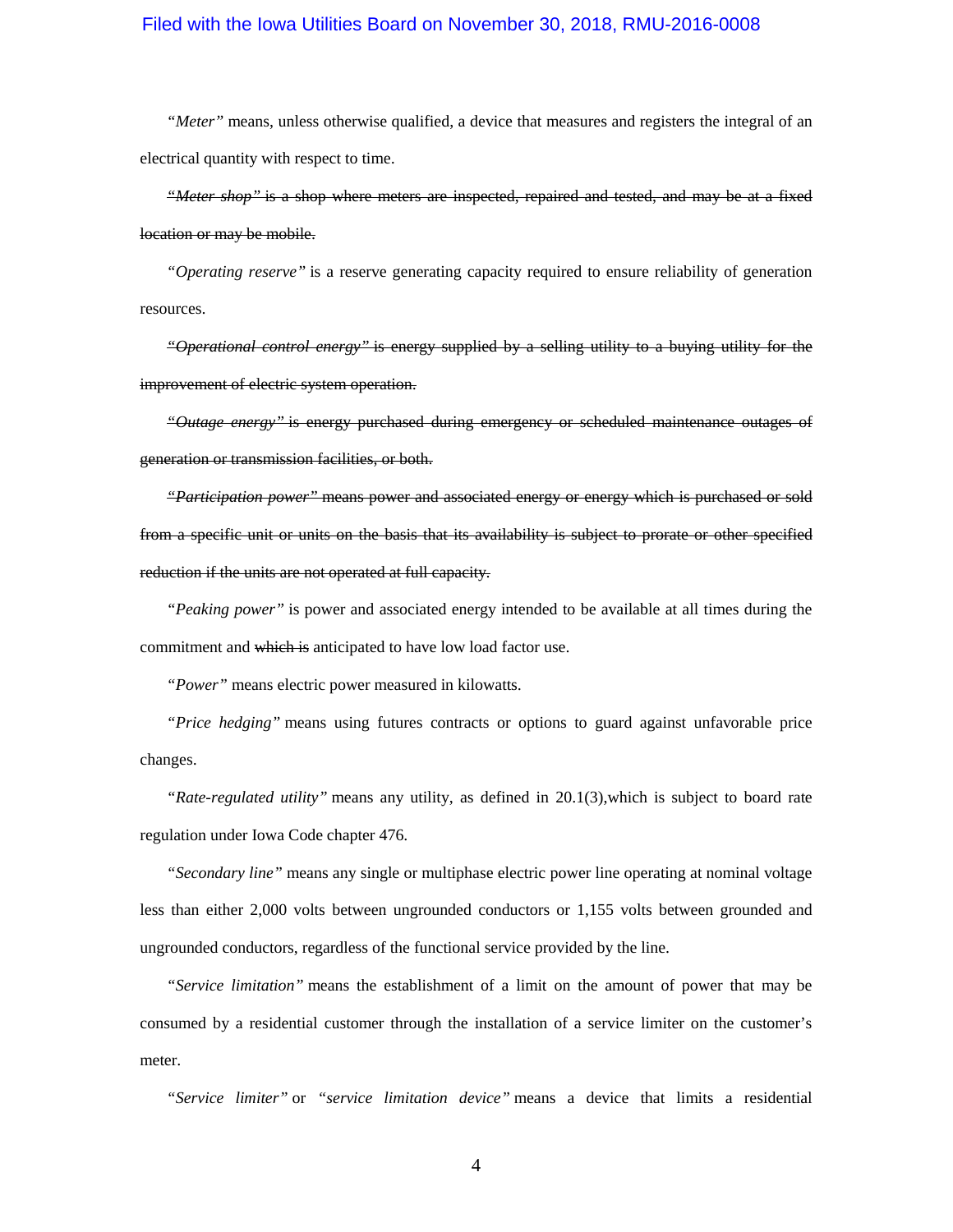*"Meter"* means, unless otherwise qualified, a device that measures and registers the integral of an electrical quantity with respect to time.

*"Meter shop"* is a shop where meters are inspected, repaired and tested, and may be at a fixed location or may be mobile.

*"Operating reserve"* is a reserve generating capacity required to ensure reliability of generation resources.

*"Operational control energy"* is energy supplied by a selling utility to a buying utility for the improvement of electric system operation.

*"Outage energy"* is energy purchased during emergency or scheduled maintenance outages of generation or transmission facilities, or both.

*"Participation power"* means power and associated energy or energy which is purchased or sold from a specific unit or units on the basis that its availability is subject to prorate or other specified reduction if the units are not operated at full capacity.

*"Peaking power"* is power and associated energy intended to be available at all times during the commitment and which is anticipated to have low load factor use.

*"Power"* means electric power measured in kilowatts.

*"Price hedging"* means using futures contracts or options to guard against unfavorable price changes.

*"Rate-regulated utility"* means any utility, as defined in [20.1\(3\),](https://www.legis.iowa.gov/docs/iac/rule/199.20.1.pdf)which is subject to board rate regulation under Iowa Code chapte[r 476.](https://www.legis.iowa.gov/docs/ico/chapter/476.pdf)

*"Secondary line"* means any single or multiphase electric power line operating at nominal voltage less than either 2,000 volts between ungrounded conductors or 1,155 volts between grounded and ungrounded conductors, regardless of the functional service provided by the line.

*"Service limitation"* means the establishment of a limit on the amount of power that may be consumed by a residential customer through the installation of a service limiter on the customer's meter.

*"Service limiter"* or *"service limitation device"* means a device that limits a residential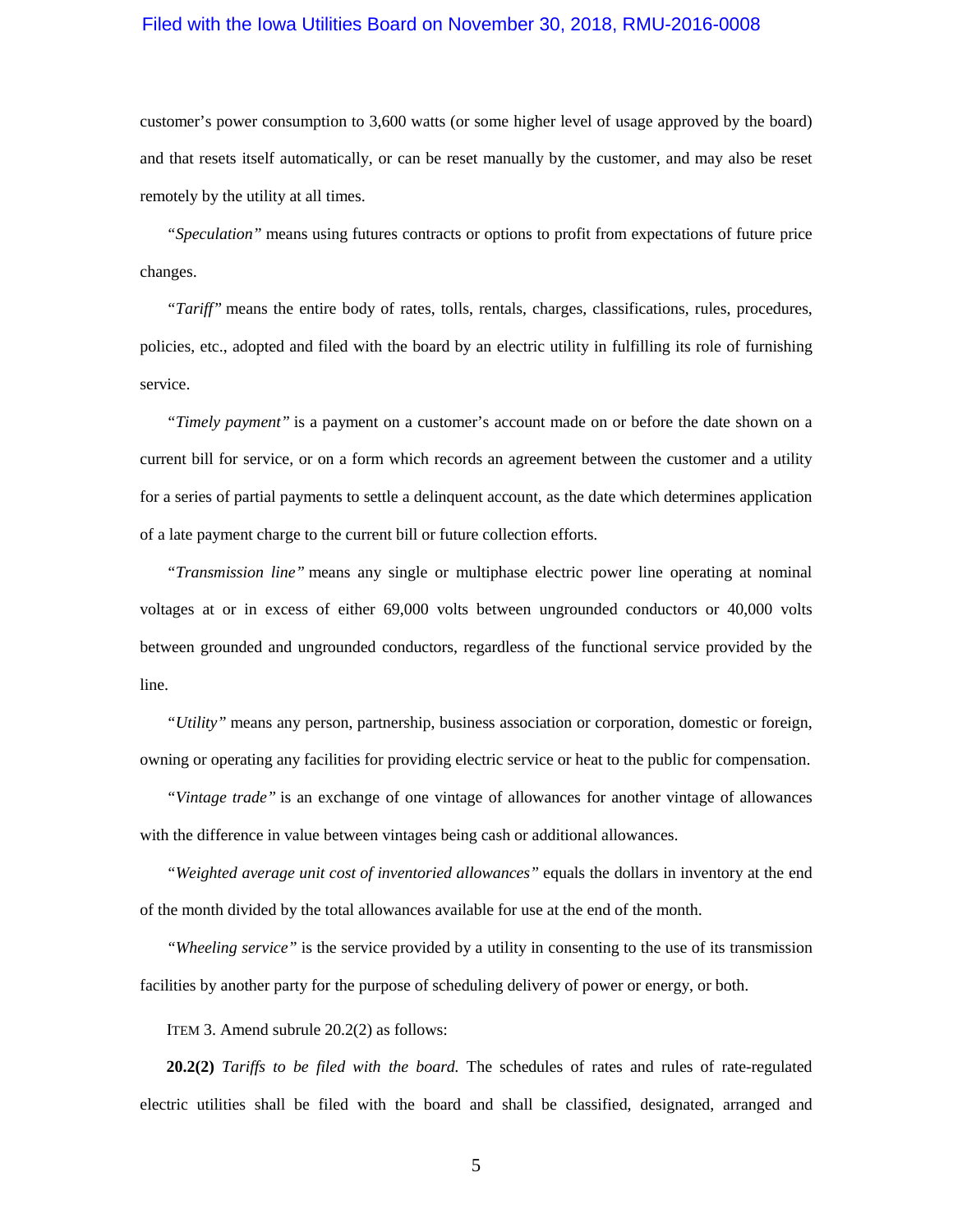customer's power consumption to 3,600 watts (or some higher level of usage approved by the board) and that resets itself automatically, or can be reset manually by the customer, and may also be reset remotely by the utility at all times.

*"Speculation"* means using futures contracts or options to profit from expectations of future price changes.

*"Tariff"* means the entire body of rates, tolls, rentals, charges, classifications, rules, procedures, policies, etc., adopted and filed with the board by an electric utility in fulfilling its role of furnishing service.

*"Timely payment"* is a payment on a customer's account made on or before the date shown on a current bill for service, or on a form which records an agreement between the customer and a utility for a series of partial payments to settle a delinquent account, as the date which determines application of a late payment charge to the current bill or future collection efforts.

*"Transmission line"* means any single or multiphase electric power line operating at nominal voltages at or in excess of either 69,000 volts between ungrounded conductors or 40,000 volts between grounded and ungrounded conductors, regardless of the functional service provided by the line.

*"Utility"* means any person, partnership, business association or corporation, domestic or foreign, owning or operating any facilities for providing electric service or heat to the public for compensation.

*"Vintage trade"* is an exchange of one vintage of allowances for another vintage of allowances with the difference in value between vintages being cash or additional allowances.

*"Weighted average unit cost of inventoried allowances"* equals the dollars in inventory at the end of the month divided by the total allowances available for use at the end of the month.

*"Wheeling service"* is the service provided by a utility in consenting to the use of its transmission facilities by another party for the purpose of scheduling delivery of power or energy, or both.

ITEM 3. Amend subrule 20.2(2) as follows:

**20.2(2)** *Tariffs to be filed with the board.* The schedules of rates and rules of rate-regulated electric utilities shall be filed with the board and shall be classified, designated, arranged and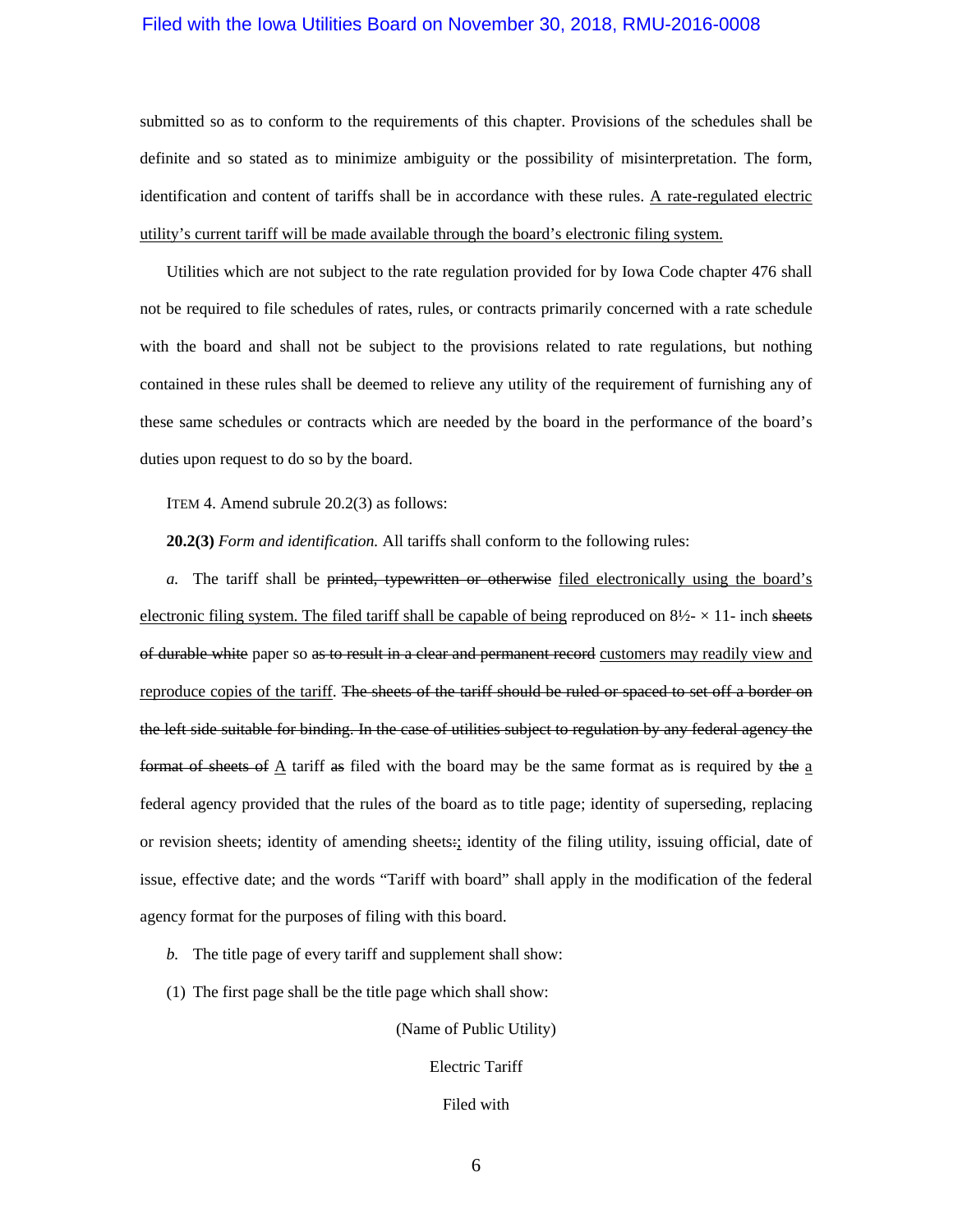submitted so as to conform to the requirements of this chapter. Provisions of the schedules shall be definite and so stated as to minimize ambiguity or the possibility of misinterpretation. The form, identification and content of tariffs shall be in accordance with these rules. A rate-regulated electric utility's current tariff will be made available through the board's electronic filing system.

Utilities which are not subject to the rate regulation provided for by Iowa Code chapter [476](https://www.legis.iowa.gov/docs/ico/chapter/476.pdf) shall not be required to file schedules of rates, rules, or contracts primarily concerned with a rate schedule with the board and shall not be subject to the provisions related to rate regulations, but nothing contained in these rules shall be deemed to relieve any utility of the requirement of furnishing any of these same schedules or contracts which are needed by the board in the performance of the board's duties upon request to do so by the board.

ITEM 4. Amend subrule 20.2(3) as follows:

**20.2(3)** *Form and identification.* All tariffs shall conform to the following rules:

*a.* The tariff shall be printed, typewritten or otherwise filed electronically using the board's electronic filing system. The filed tariff shall be capable of being reproduced on  $8\frac{1}{2} \times 11$ - inch sheets of durable white paper so as to result in a clear and permanent record customers may readily view and reproduce copies of the tariff. The sheets of the tariff should be ruled or spaced to set off a border on the left side suitable for binding. In the case of utilities subject to regulation by any federal agency the format of sheets of  $\Delta$  tariff as filed with the board may be the same format as is required by the  $\Delta$ federal agency provided that the rules of the board as to title page; identity of superseding, replacing or revision sheets; identity of amending sheets:; identity of the filing utility, issuing official, date of issue, effective date; and the words "Tariff with board" shall apply in the modification of the federal agency format for the purposes of filing with this board.

- *b.* The title page of every tariff and supplement shall show:
- (1) The first page shall be the title page which shall show:

(Name of Public Utility)

Electric Tariff

Filed with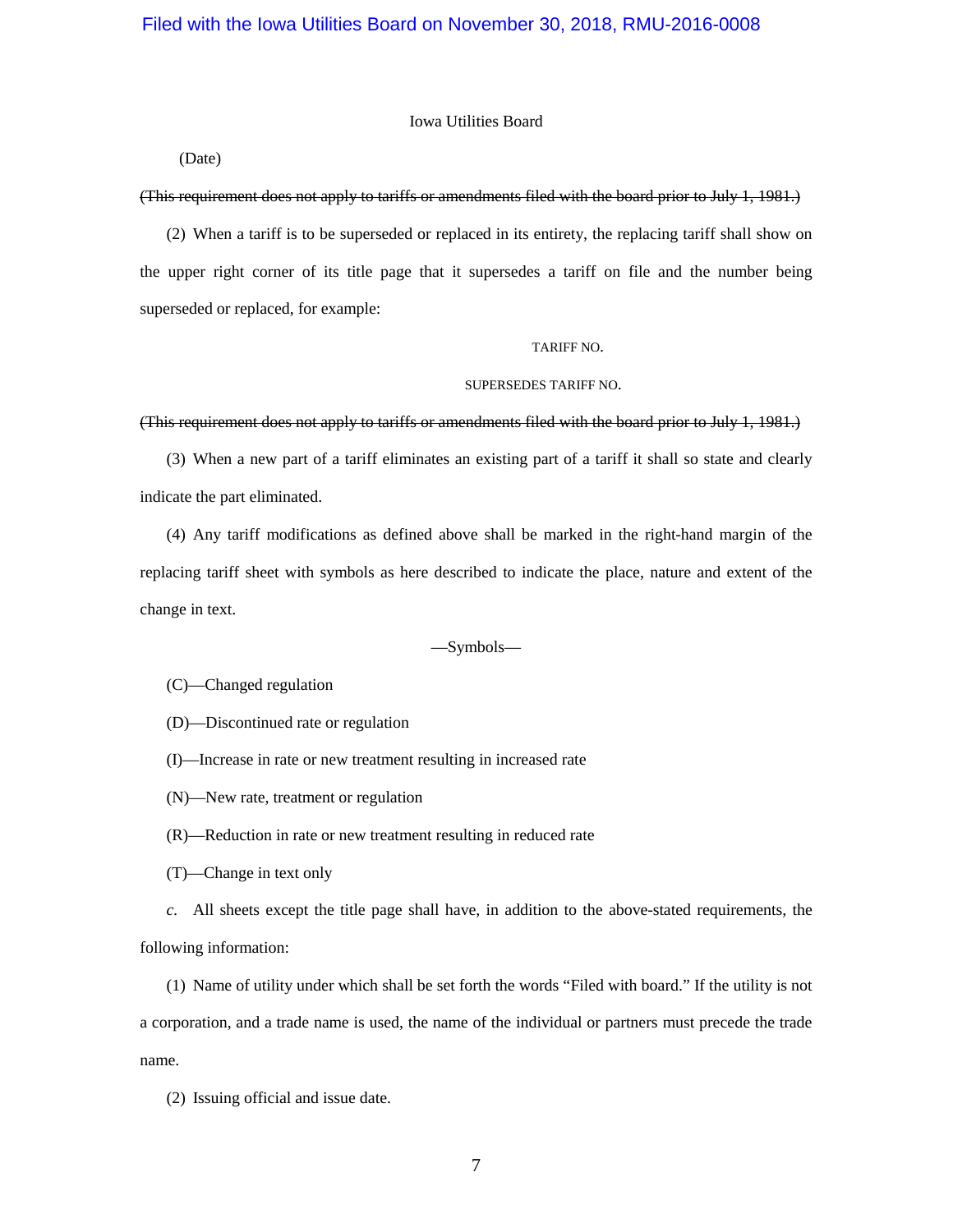#### Iowa Utilities Board

(Date)

#### (This requirement does not apply to tariffs or amendments filed with the board prior to July 1, 1981.)

(2) When a tariff is to be superseded or replaced in its entirety, the replacing tariff shall show on the upper right corner of its title page that it supersedes a tariff on file and the number being superseded or replaced, for example:

#### TARIFF NO.

#### SUPERSEDES TARIFF NO.

#### (This requirement does not apply to tariffs or amendments filed with the board prior to July 1, 1981.)

(3) When a new part of a tariff eliminates an existing part of a tariff it shall so state and clearly indicate the part eliminated.

(4) Any tariff modifications as defined above shall be marked in the right-hand margin of the replacing tariff sheet with symbols as here described to indicate the place, nature and extent of the change in text.

#### —Symbols—

(C)—Changed regulation

- (D)—Discontinued rate or regulation
- (I)—Increase in rate or new treatment resulting in increased rate
- (N)—New rate, treatment or regulation
- (R)—Reduction in rate or new treatment resulting in reduced rate
- (T)—Change in text only

*c.* All sheets except the title page shall have, in addition to the above-stated requirements, the following information:

(1) Name of utility under which shall be set forth the words "Filed with board." If the utility is not a corporation, and a trade name is used, the name of the individual or partners must precede the trade name.

(2) Issuing official and issue date.

7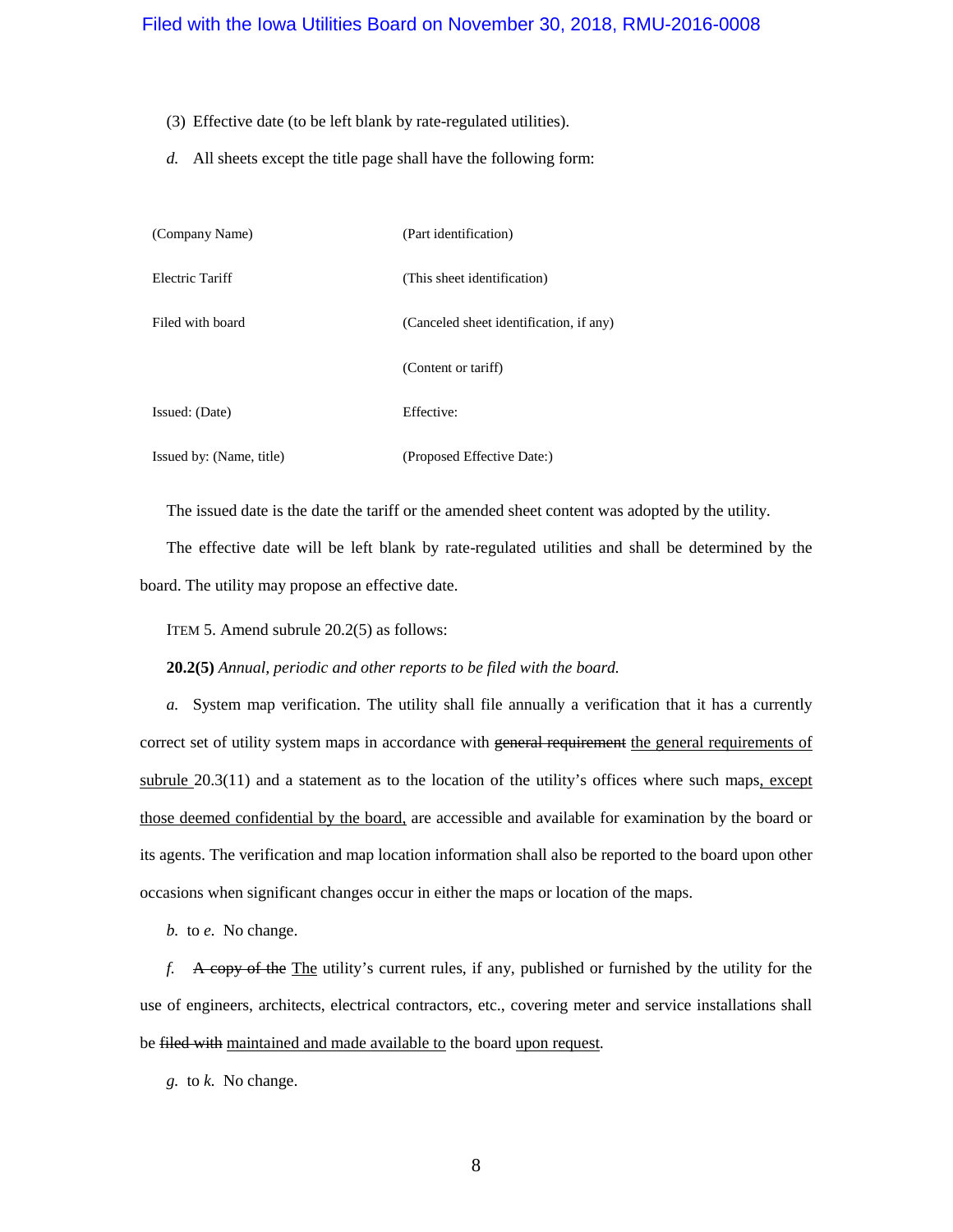- (3) Effective date (to be left blank by rate-regulated utilities).
- *d.* All sheets except the title page shall have the following form:

| (Company Name)           | (Part identification)                   |
|--------------------------|-----------------------------------------|
| Electric Tariff          | (This sheet identification)             |
| Filed with board         | (Canceled sheet identification, if any) |
|                          | (Content or tariff)                     |
| Issued: (Date)           | Effective:                              |
| Issued by: (Name, title) | (Proposed Effective Date:)              |

The issued date is the date the tariff or the amended sheet content was adopted by the utility.

The effective date will be left blank by rate-regulated utilities and shall be determined by the board. The utility may propose an effective date.

ITEM 5. Amend subrule 20.2(5) as follows:

**20.2(5)** *Annual, periodic and other reports to be filed with the board.*

*a.* System map verification. The utility shall file annually a verification that it has a currently correct set of utility system maps in accordance with general requirement the general requirements of subrule [20.3\(11\)](https://www.legis.iowa.gov/docs/iac/rule/199.20.3.pdf) and a statement as to the location of the utility's offices where such maps, except those deemed confidential by the board, are accessible and available for examination by the board or its agents. The verification and map location information shall also be reported to the board upon other occasions when significant changes occur in either the maps or location of the maps.

*b.* to *e.* No change.

*f.* A copy of the The utility's current rules, if any, published or furnished by the utility for the use of engineers, architects, electrical contractors, etc., covering meter and service installations shall be filed with maintained and made available to the board upon request.

*g.* to *k.* No change.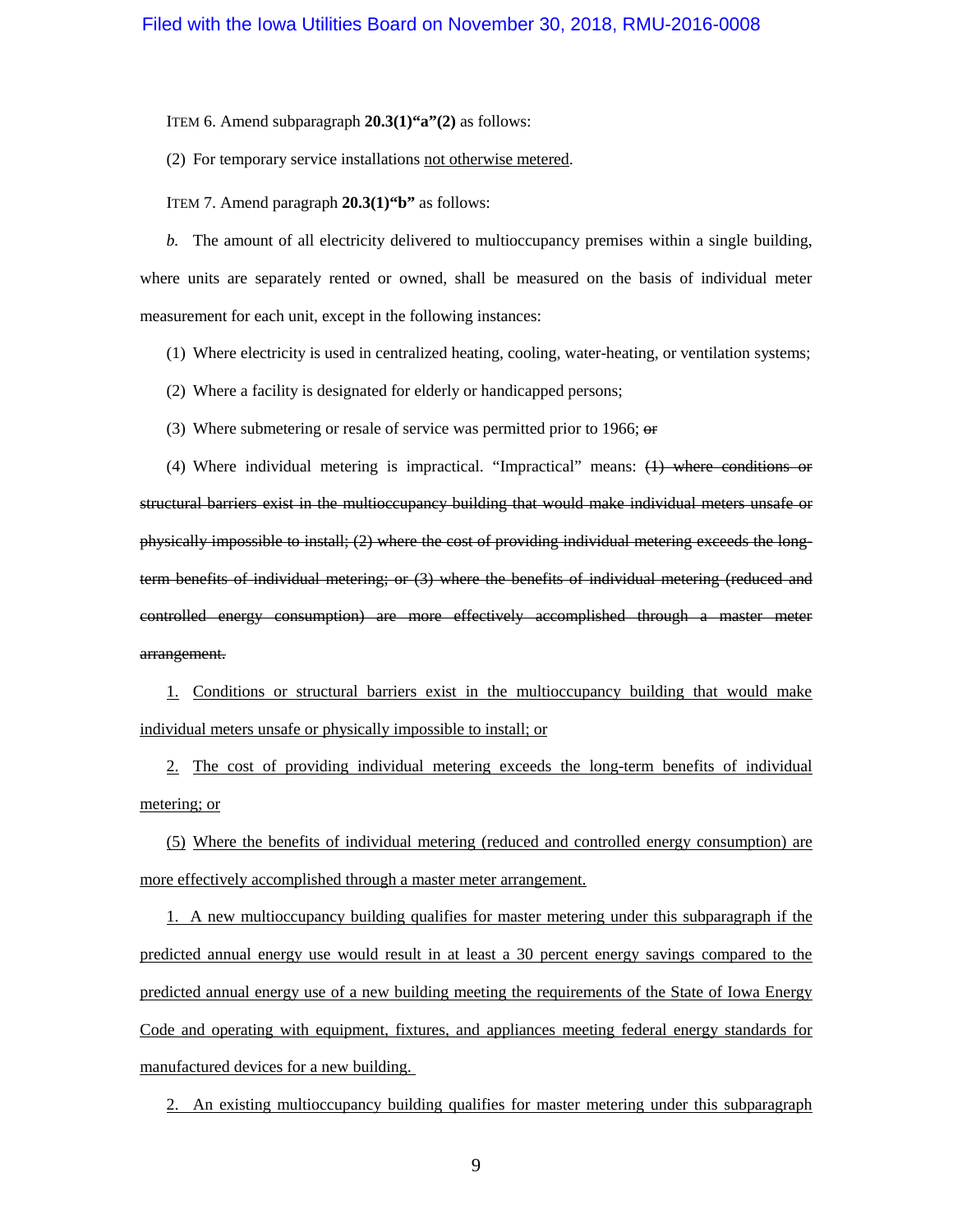ITEM 6. Amend subparagraph **20.3(1)"a"(2)** as follows:

(2) For temporary service installations not otherwise metered.

ITEM 7. Amend paragraph **20.3(1)"b"** as follows:

*b.* The amount of all electricity delivered to multioccupancy premises within a single building, where units are separately rented or owned, shall be measured on the basis of individual meter measurement for each unit, except in the following instances:

(1) Where electricity is used in centralized heating, cooling, water-heating, or ventilation systems;

(2) Where a facility is designated for elderly or handicapped persons;

(3) Where submetering or resale of service was permitted prior to 1966; or

(4) Where individual metering is impractical. "Impractical" means: (1) where conditions or structural barriers exist in the multioccupancy building that would make individual meters unsafe or physically impossible to install; (2) where the cost of providing individual metering exceeds the longterm benefits of individual metering; or (3) where the benefits of individual metering (reduced and controlled energy consumption) are more effectively accomplished through a master meter arrangement.

1. Conditions or structural barriers exist in the multioccupancy building that would make individual meters unsafe or physically impossible to install; or

2. The cost of providing individual metering exceeds the long-term benefits of individual metering; or

(5) Where the benefits of individual metering (reduced and controlled energy consumption) are more effectively accomplished through a master meter arrangement.

1. A new multioccupancy building qualifies for master metering under this subparagraph if the predicted annual energy use would result in at least a 30 percent energy savings compared to the predicted annual energy use of a new building meeting the requirements of the State of Iowa Energy Code and operating with equipment, fixtures, and appliances meeting federal energy standards for manufactured devices for a new building.

2. An existing multioccupancy building qualifies for master metering under this subparagraph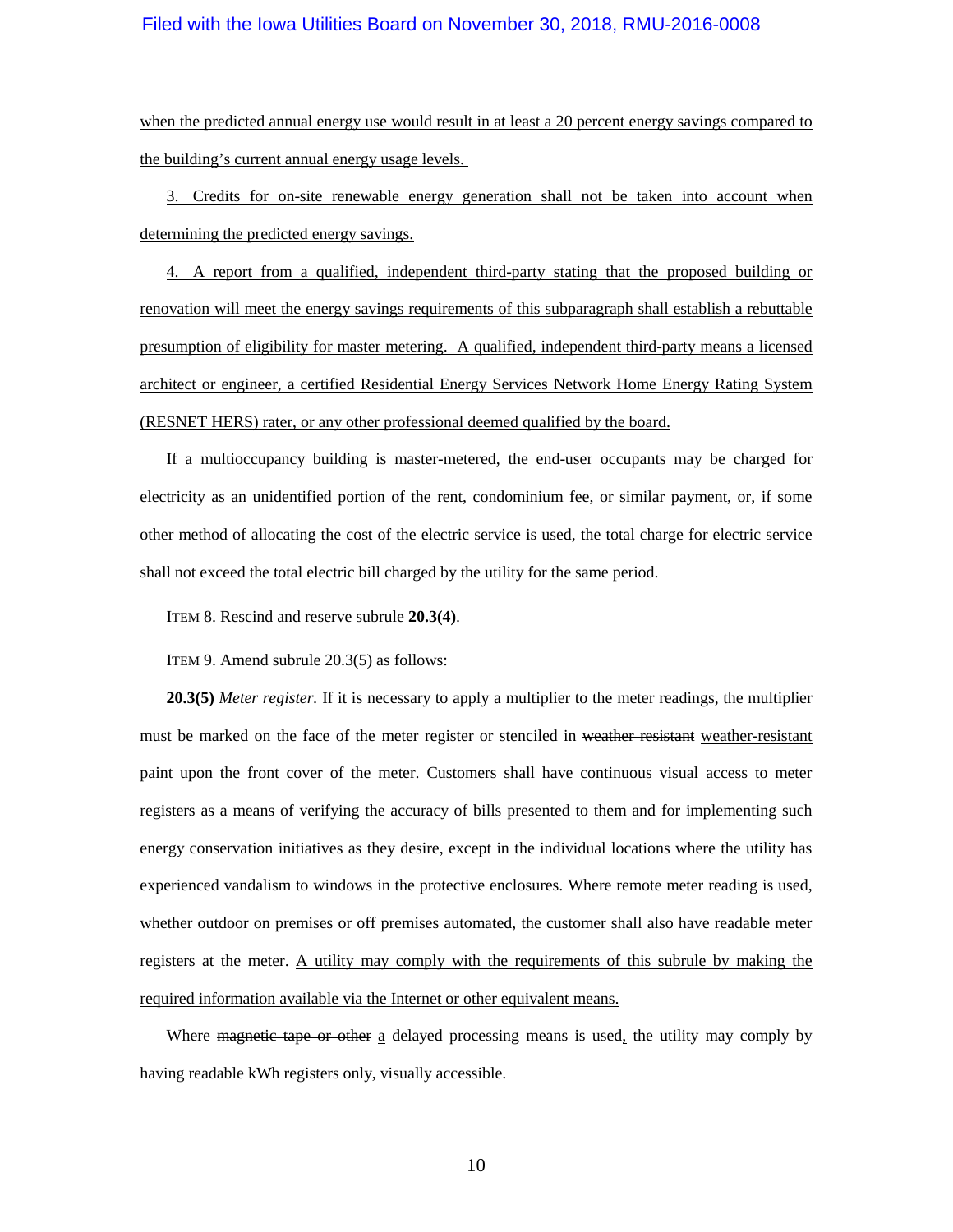when the predicted annual energy use would result in at least a 20 percent energy savings compared to the building's current annual energy usage levels.

3. Credits for on-site renewable energy generation shall not be taken into account when determining the predicted energy savings.

4. A report from a qualified, independent third-party stating that the proposed building or renovation will meet the energy savings requirements of this subparagraph shall establish a rebuttable presumption of eligibility for master metering. A qualified, independent third-party means a licensed architect or engineer, a certified Residential Energy Services Network Home Energy Rating System (RESNET HERS) rater, or any other professional deemed qualified by the board.

If a multioccupancy building is master-metered, the end-user occupants may be charged for electricity as an unidentified portion of the rent, condominium fee, or similar payment, or, if some other method of allocating the cost of the electric service is used, the total charge for electric service shall not exceed the total electric bill charged by the utility for the same period.

ITEM 8. Rescind and reserve subrule **20.3(4)**.

ITEM 9. Amend subrule 20.3(5) as follows:

**20.3(5)** *Meter register.* If it is necessary to apply a multiplier to the meter readings, the multiplier must be marked on the face of the meter register or stenciled in weather resistant weather-resistant paint upon the front cover of the meter. Customers shall have continuous visual access to meter registers as a means of verifying the accuracy of bills presented to them and for implementing such energy conservation initiatives as they desire, except in the individual locations where the utility has experienced vandalism to windows in the protective enclosures. Where remote meter reading is used, whether outdoor on premises or off premises automated, the customer shall also have readable meter registers at the meter. A utility may comply with the requirements of this subrule by making the required information available via the Internet or other equivalent means.

Where magnetic tape or other a delayed processing means is used, the utility may comply by having readable kWh registers only, visually accessible.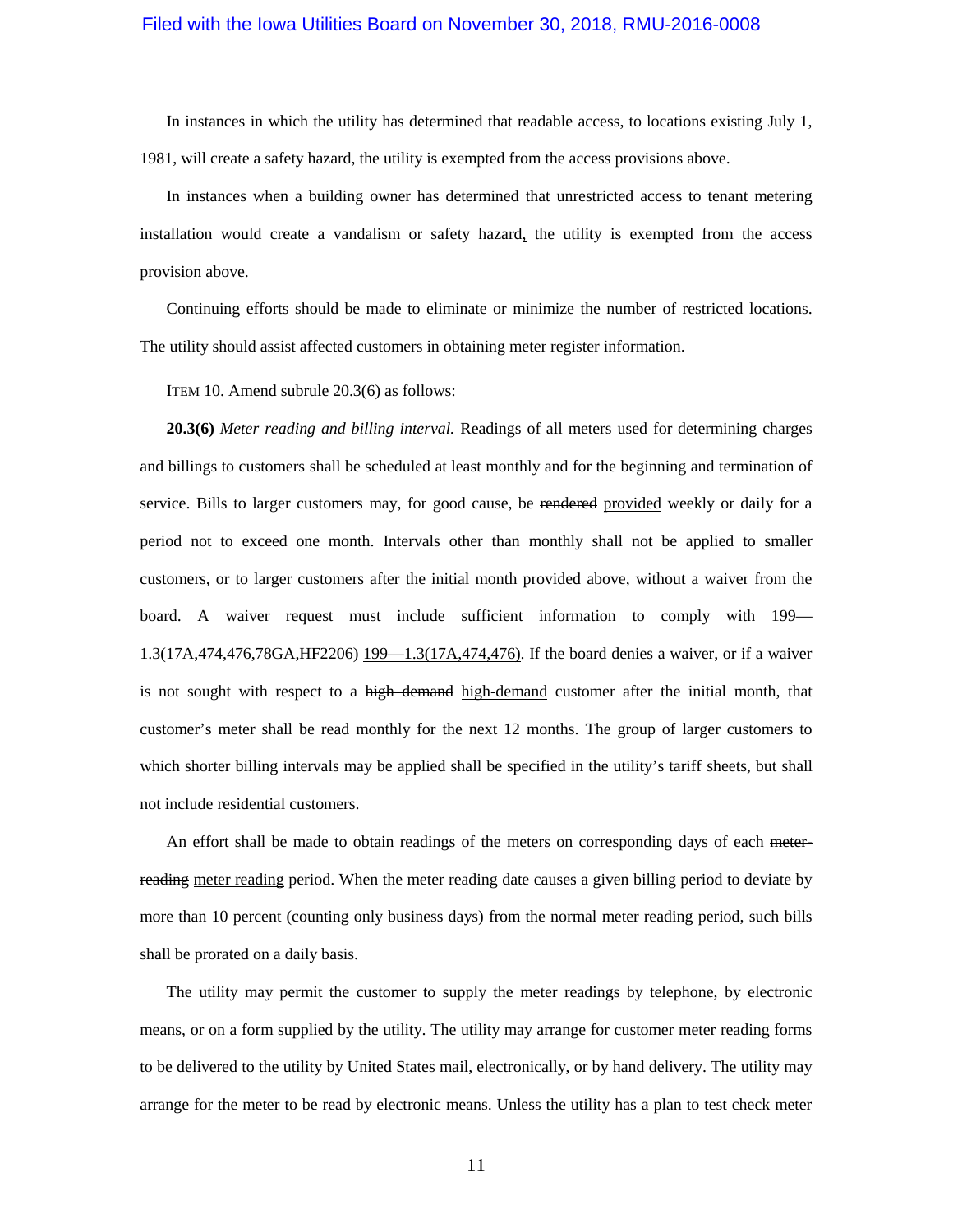In instances in which the utility has determined that readable access, to locations existing July 1, 1981, will create a safety hazard, the utility is exempted from the access provisions above.

In instances when a building owner has determined that unrestricted access to tenant metering installation would create a vandalism or safety hazard, the utility is exempted from the access provision above.

Continuing efforts should be made to eliminate or minimize the number of restricted locations. The utility should assist affected customers in obtaining meter register information.

ITEM 10. Amend subrule 20.3(6) as follows:

**20.3(6)** *Meter reading and billing interval.* Readings of all meters used for determining charges and billings to customers shall be scheduled at least monthly and for the beginning and termination of service. Bills to larger customers may, for good cause, be rendered provided weekly or daily for a period not to exceed one month. Intervals other than monthly shall not be applied to smaller customers, or to larger customers after the initial month provided above, without a waiver from the board. A waiver request must include sufficient information to comply with [199—](https://www.legis.iowa.gov/docs/iac/rule/199.1.3.pdf) [1.3\(](https://www.legis.iowa.gov/docs/iac/rule/199.1.3.pdf)17A,474,476,78GA,HF2206) [199—1.3\(17A,474,476\).](https://www.legis.iowa.gov/docs/iac/rule/199.1.3.pdf) If the board denies a waiver, or if a waiver is not sought with respect to a high-demand high-demand customer after the initial month, that customer's meter shall be read monthly for the next 12 months. The group of larger customers to which shorter billing intervals may be applied shall be specified in the utility's tariff sheets, but shall not include residential customers.

An effort shall be made to obtain readings of the meters on corresponding days of each meterreading meter reading period. When the meter reading date causes a given billing period to deviate by more than 10 percent (counting only business days) from the normal meter reading period, such bills shall be prorated on a daily basis.

The utility may permit the customer to supply the meter readings by telephone, by electronic means, or on a form supplied by the utility. The utility may arrange for customer meter reading forms to be delivered to the utility by United States mail, electronically, or by hand delivery. The utility may arrange for the meter to be read by electronic means. Unless the utility has a plan to test check meter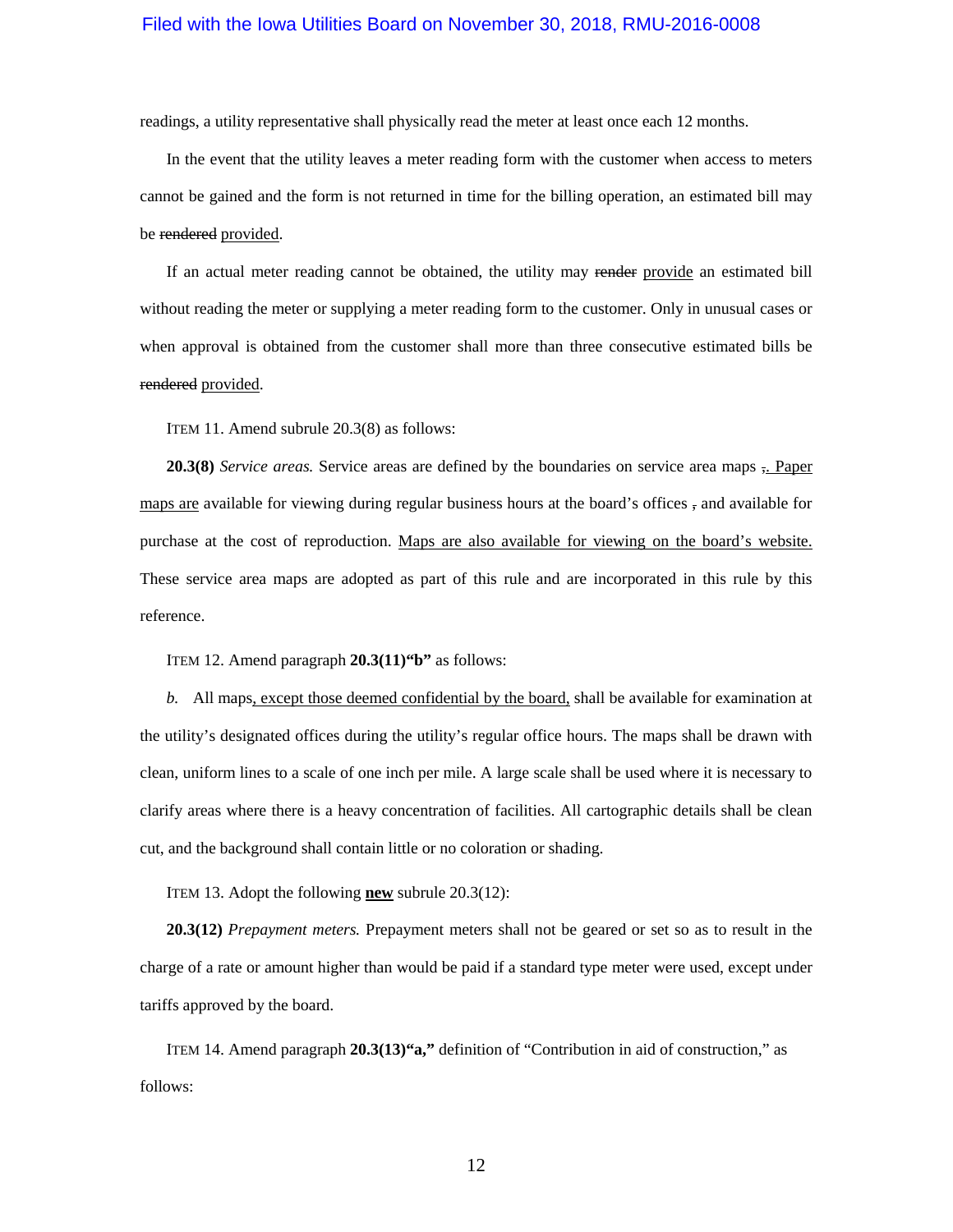readings, a utility representative shall physically read the meter at least once each 12 months.

In the event that the utility leaves a meter reading form with the customer when access to meters cannot be gained and the form is not returned in time for the billing operation, an estimated bill may be rendered provided.

If an actual meter reading cannot be obtained, the utility may render provide an estimated bill without reading the meter or supplying a meter reading form to the customer. Only in unusual cases or when approval is obtained from the customer shall more than three consecutive estimated bills be rendered provided.

ITEM 11. Amend subrule 20.3(8) as follows:

**20.3(8)** *Service areas.* Service areas are defined by the boundaries on service area maps ,. Paper maps are available for viewing during regular business hours at the board's offices  $\frac{1}{2}$  and available for purchase at the cost of reproduction. Maps are also available for viewing on the board's website. These service area maps are adopted as part of this rule and are incorporated in this rule by this reference.

ITEM 12. Amend paragraph **20.3(11)"b"** as follows:

*b.* All maps, except those deemed confidential by the board, shall be available for examination at the utility's designated offices during the utility's regular office hours. The maps shall be drawn with clean, uniform lines to a scale of one inch per mile. A large scale shall be used where it is necessary to clarify areas where there is a heavy concentration of facilities. All cartographic details shall be clean cut, and the background shall contain little or no coloration or shading.

ITEM 13. Adopt the following **new** subrule 20.3(12):

**20.3(12)** *Prepayment meters.* Prepayment meters shall not be geared or set so as to result in the charge of a rate or amount higher than would be paid if a standard type meter were used, except under tariffs approved by the board.

ITEM 14. Amend paragraph **20.3(13)"a,"** definition of "Contribution in aid of construction," as follows: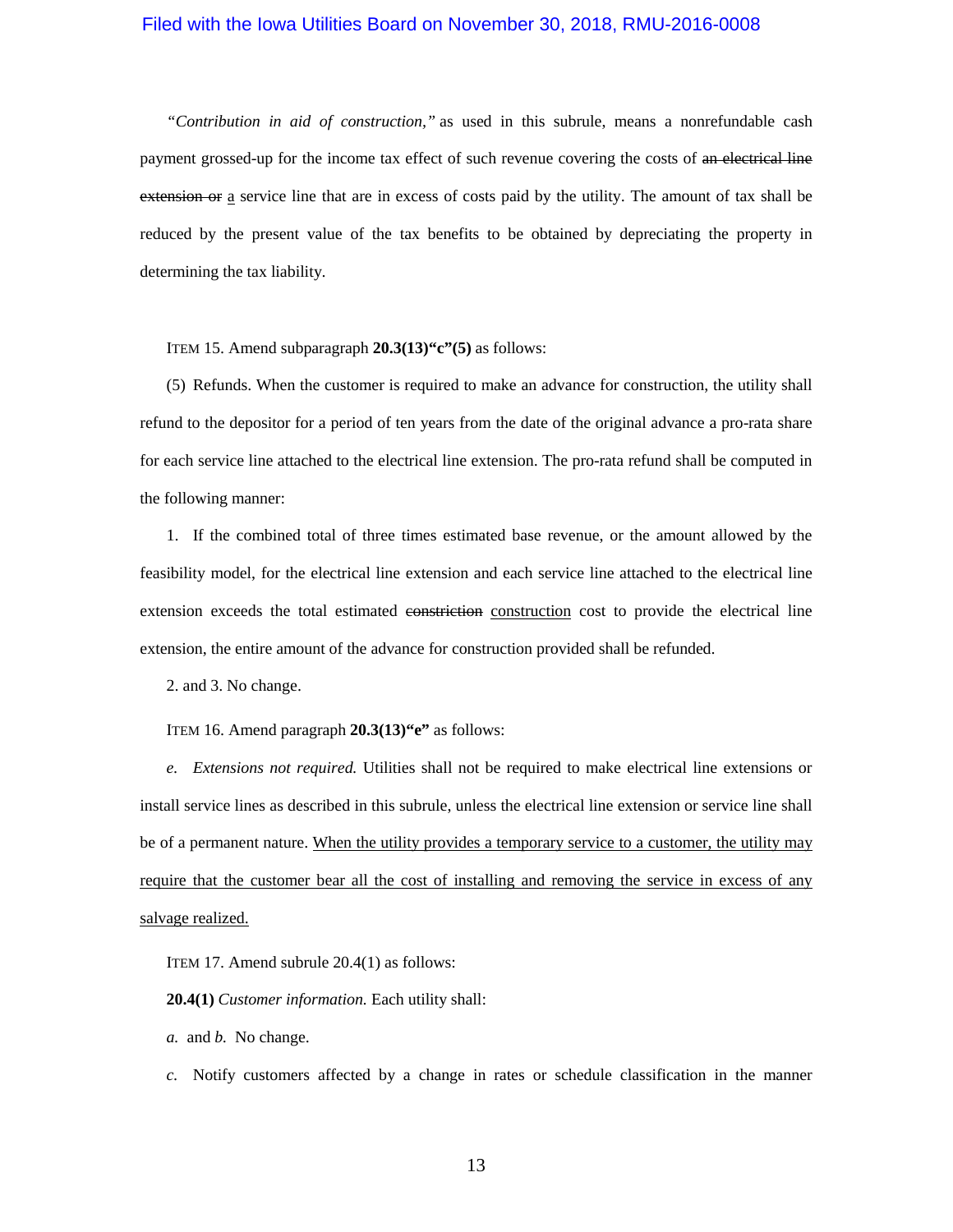*"Contribution in aid of construction,"* as used in this subrule, means a nonrefundable cash payment grossed-up for the income tax effect of such revenue covering the costs of an electrical line extension or a service line that are in excess of costs paid by the utility. The amount of tax shall be reduced by the present value of the tax benefits to be obtained by depreciating the property in determining the tax liability.

ITEM 15. Amend subparagraph **20.3(13)"c"(5)** as follows:

(5) Refunds. When the customer is required to make an advance for construction, the utility shall refund to the depositor for a period of ten years from the date of the original advance a pro-rata share for each service line attached to the electrical line extension. The pro-rata refund shall be computed in the following manner:

1. If the combined total of three times estimated base revenue, or the amount allowed by the feasibility model, for the electrical line extension and each service line attached to the electrical line extension exceeds the total estimated constriction construction cost to provide the electrical line extension, the entire amount of the advance for construction provided shall be refunded.

2. and 3. No change.

ITEM 16. Amend paragraph **20.3(13)"e"** as follows:

*e. Extensions not required.* Utilities shall not be required to make electrical line extensions or install service lines as described in this subrule, unless the electrical line extension or service line shall be of a permanent nature. When the utility provides a temporary service to a customer, the utility may require that the customer bear all the cost of installing and removing the service in excess of any salvage realized.

ITEM 17. Amend subrule 20.4(1) as follows:

**20.4(1)** *Customer information.* Each utility shall:

*a.* and *b.* No change.

*c.* Notify customers affected by a change in rates or schedule classification in the manner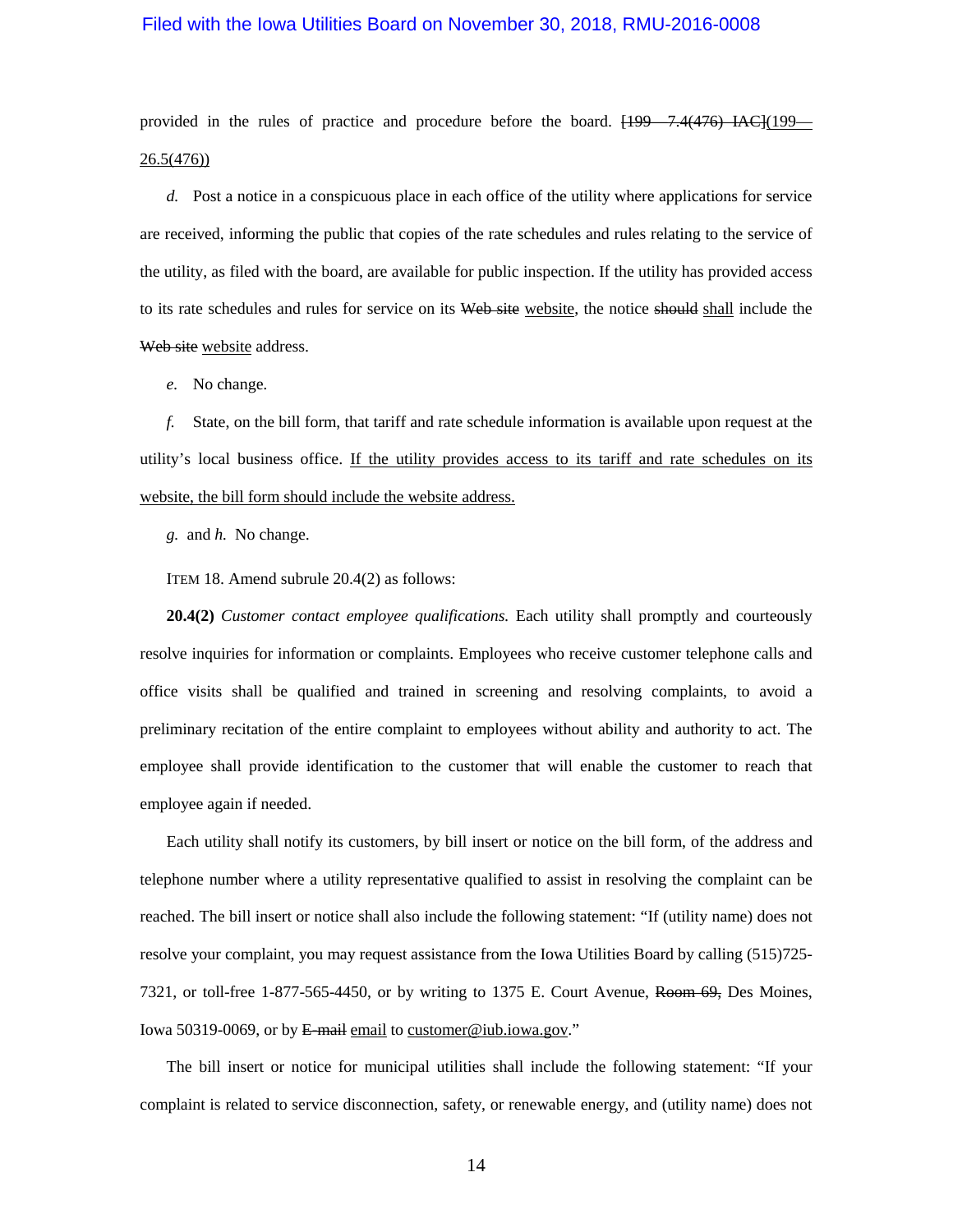provided in the rules of practice and procedure before the board.  $[199 - 7.4(476) \text{ } LAC](199 -$ [26.5\(476\)\)](https://www.legis.iowa.gov/docs/iac/rule/199.26.2.pdf)

*d.* Post a notice in a conspicuous place in each office of the utility where applications for service are received, informing the public that copies of the rate schedules and rules relating to the service of the utility, as filed with the board, are available for public inspection. If the utility has provided access to its rate schedules and rules for service on its Web site website, the notice should shall include the Web site website address.

*e.* No change.

*f.* State, on the bill form, that tariff and rate schedule information is available upon request at the utility's local business office. If the utility provides access to its tariff and rate schedules on its website, the bill form should include the website address.

*g.* and *h.* No change.

ITEM 18. Amend subrule 20.4(2) as follows:

**20.4(2)** *Customer contact employee qualifications*. Each utility shall promptly and courteously resolve inquiries for information or complaints. Employees who receive customer telephone calls and office visits shall be qualified and trained in screening and resolving complaints, to avoid a preliminary recitation of the entire complaint to employees without ability and authority to act. The employee shall provide identification to the customer that will enable the customer to reach that employee again if needed.

Each utility shall notify its customers, by bill insert or notice on the bill form, of the address and telephone number where a utility representative qualified to assist in resolving the complaint can be reached. The bill insert or notice shall also include the following statement: "If (utility name) does not resolve your complaint, you may request assistance from the Iowa Utilities Board by calling (515)725- 7321, or toll-free 1-877-565-4450, or by writing to 1375 E. Court Avenue, Room 69, Des Moines, Iowa 50319-0069, or by E-mail email to customer@iub.iowa.gov."

The bill insert or notice for municipal utilities shall include the following statement: "If your complaint is related to service disconnection, safety, or renewable energy, and (utility name) does not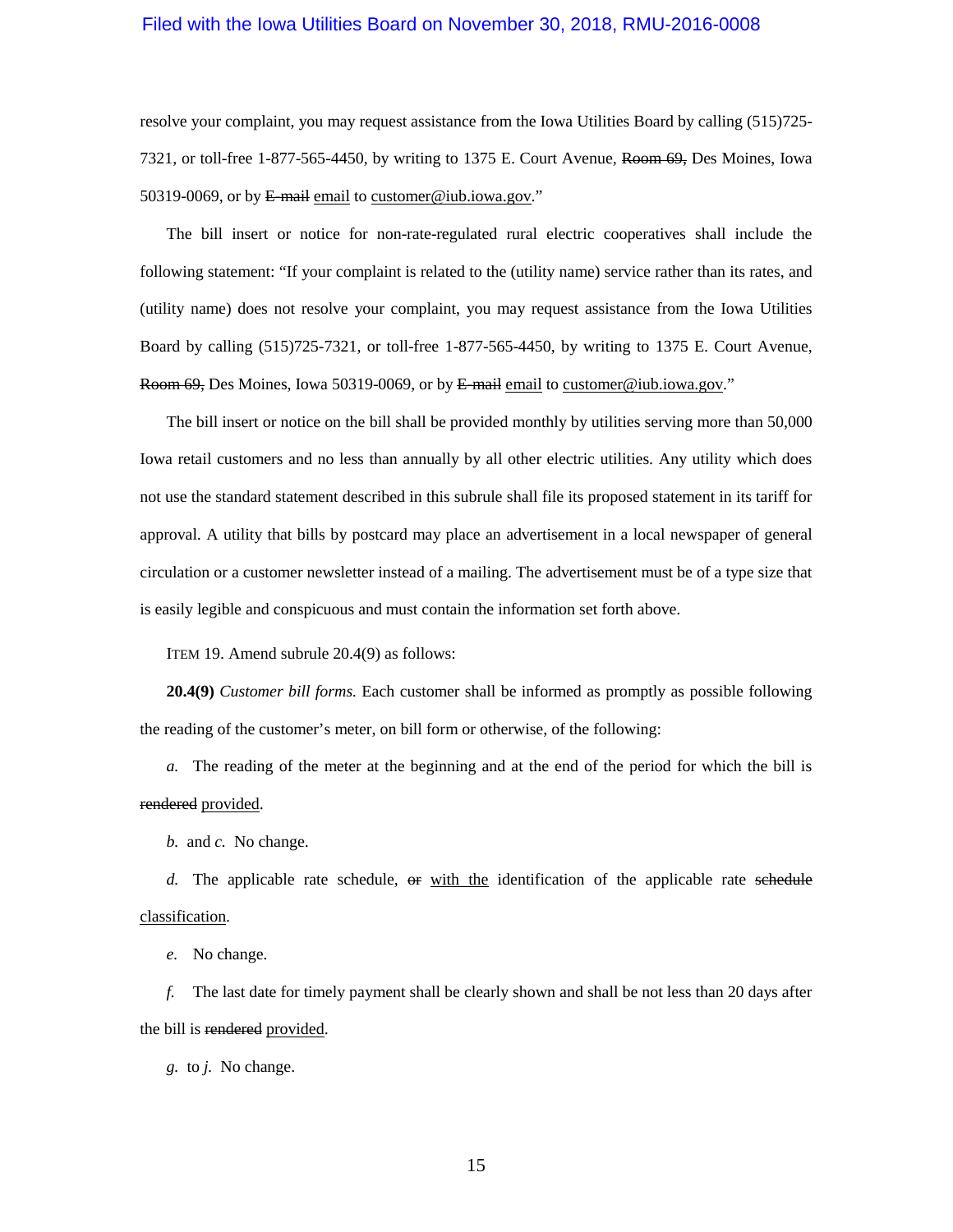resolve your complaint, you may request assistance from the Iowa Utilities Board by calling (515)725- 7321, or toll-free 1-877-565-4450, by writing to 1375 E. Court Avenue, Room 69, Des Moines, Iowa 50319-0069, or by E-mail email to customer@iub.iowa.gov."

The bill insert or notice for non-rate-regulated rural electric cooperatives shall include the following statement: "If your complaint is related to the (utility name) service rather than its rates, and (utility name) does not resolve your complaint, you may request assistance from the Iowa Utilities Board by calling (515)725-7321, or toll-free 1-877-565-4450, by writing to 1375 E. Court Avenue, Room 69, Des Moines, Iowa 50319-0069, or by E-mail email to customer@iub.iowa.gov."

The bill insert or notice on the bill shall be provided monthly by utilities serving more than 50,000 Iowa retail customers and no less than annually by all other electric utilities. Any utility which does not use the standard statement described in this subrule shall file its proposed statement in its tariff for approval. A utility that bills by postcard may place an advertisement in a local newspaper of general circulation or a customer newsletter instead of a mailing. The advertisement must be of a type size that is easily legible and conspicuous and must contain the information set forth above.

ITEM 19. Amend subrule 20.4(9) as follows:

**20.4(9)** *Customer bill forms.* Each customer shall be informed as promptly as possible following the reading of the customer's meter, on bill form or otherwise, of the following:

*a.* The reading of the meter at the beginning and at the end of the period for which the bill is rendered provided.

*b.* and *c.* No change.

d. The applicable rate schedule,  $\theta$  with the identification of the applicable rate schedule classification.

*e.* No change.

*f.* The last date for timely payment shall be clearly shown and shall be not less than 20 days after the bill is rendered provided.

*g.* to *j.* No change.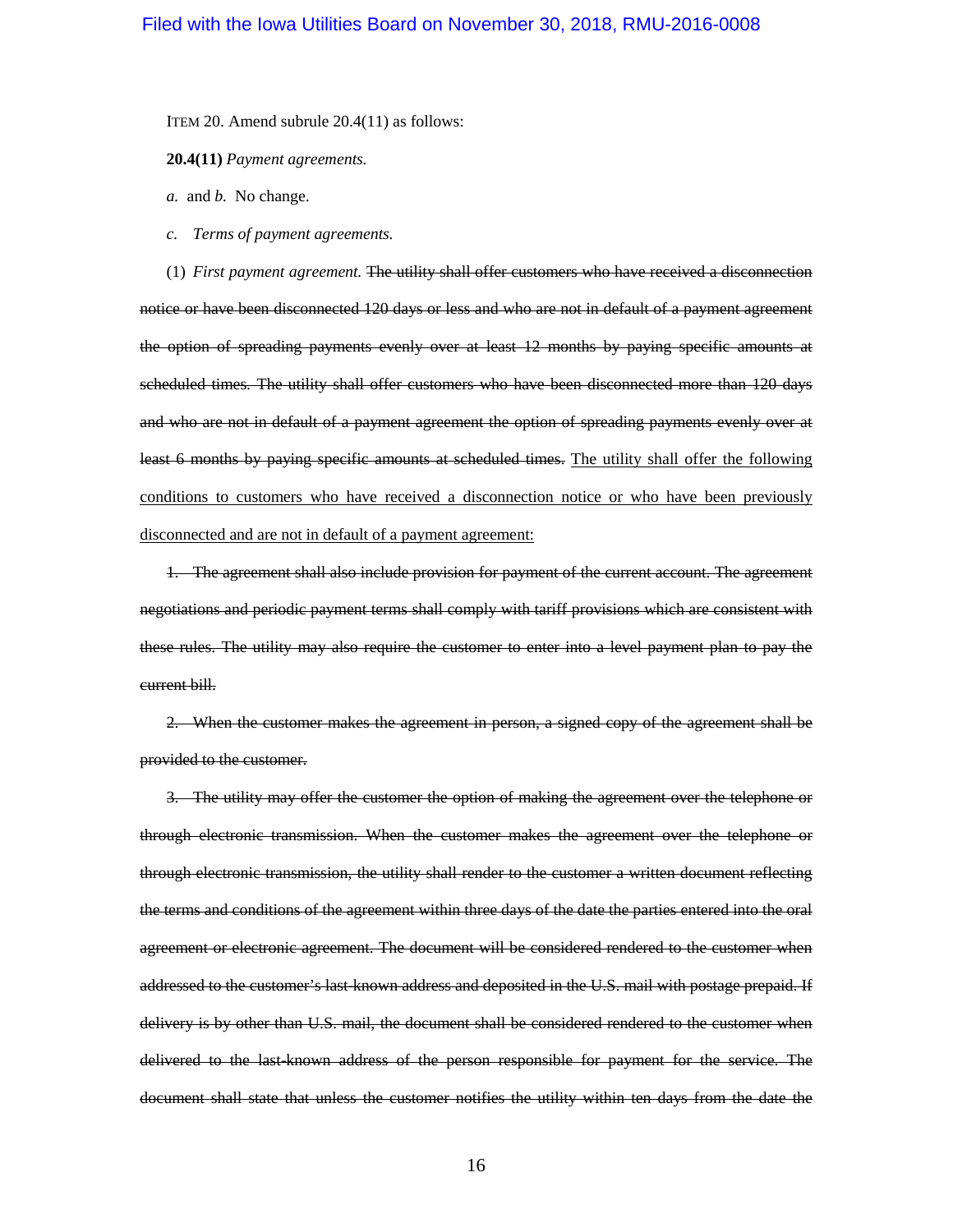ITEM 20. Amend subrule 20.4(11) as follows:

**20.4(11)** *Payment agreements.*

*a.* and *b.* No change.

*c. Terms of payment agreements.*

(1) *First payment agreement.* The utility shall offer customers who have received a disconnection notice or have been disconnected 120 days or less and who are not in default of a payment agreement the option of spreading payments evenly over at least 12 months by paying specific amounts at scheduled times. The utility shall offer customers who have been disconnected more than 120 days and who are not in default of a payment agreement the option of spreading payments evenly over at least 6 months by paying specific amounts at scheduled times. The utility shall offer the following conditions to customers who have received a disconnection notice or who have been previously disconnected and are not in default of a payment agreement:

1. The agreement shall also include provision for payment of the current account. The agreement negotiations and periodic payment terms shall comply with tariff provisions which are consistent with these rules. The utility may also require the customer to enter into a level payment plan to pay the current bill.

2. When the customer makes the agreement in person, a signed copy of the agreement shall be provided to the customer.

3. The utility may offer the customer the option of making the agreement over the telephone or through electronic transmission. When the customer makes the agreement over the telephone or through electronic transmission, the utility shall render to the customer a written document reflecting the terms and conditions of the agreement within three days of the date the parties entered into the oral agreement or electronic agreement. The document will be considered rendered to the customer when addressed to the customer's last-known address and deposited in the U.S. mail with postage prepaid. If delivery is by other than U.S. mail, the document shall be considered rendered to the customer when delivered to the last-known address of the person responsible for payment for the service. The document shall state that unless the customer notifies the utility within ten days from the date the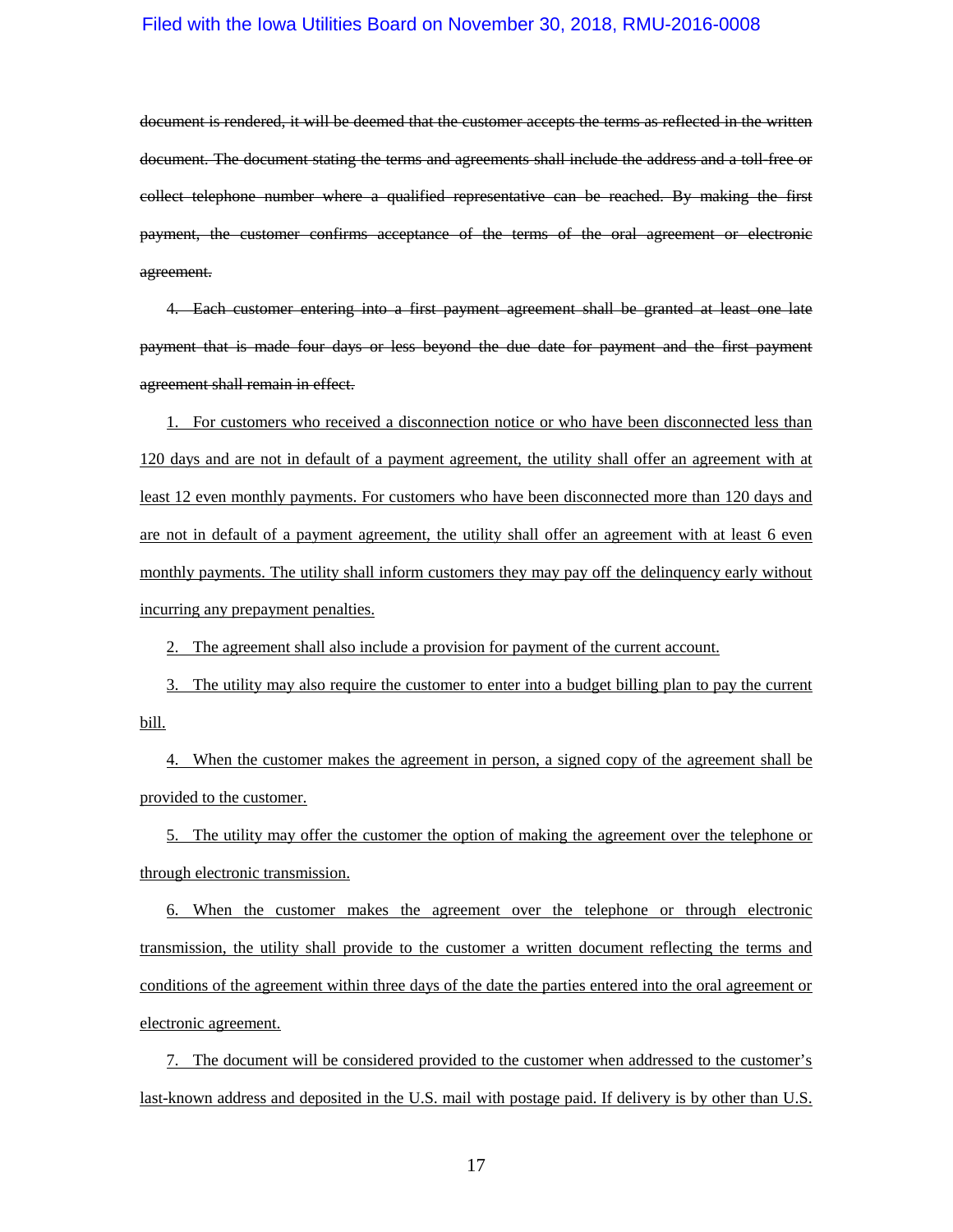document is rendered, it will be deemed that the customer accepts the terms as reflected in the written document. The document stating the terms and agreements shall include the address and a toll-free or collect telephone number where a qualified representative can be reached. By making the first payment, the customer confirms acceptance of the terms of the oral agreement or electronic agreement.

4. Each customer entering into a first payment agreement shall be granted at least one late payment that is made four days or less beyond the due date for payment and the first payment agreement shall remain in effect.

1. For customers who received a disconnection notice or who have been disconnected less than 120 days and are not in default of a payment agreement, the utility shall offer an agreement with at least 12 even monthly payments. For customers who have been disconnected more than 120 days and are not in default of a payment agreement, the utility shall offer an agreement with at least 6 even monthly payments. The utility shall inform customers they may pay off the delinquency early without incurring any prepayment penalties.

2. The agreement shall also include a provision for payment of the current account.

3. The utility may also require the customer to enter into a budget billing plan to pay the current bill.

4. When the customer makes the agreement in person, a signed copy of the agreement shall be provided to the customer.

5. The utility may offer the customer the option of making the agreement over the telephone or through electronic transmission.

6. When the customer makes the agreement over the telephone or through electronic transmission, the utility shall provide to the customer a written document reflecting the terms and conditions of the agreement within three days of the date the parties entered into the oral agreement or electronic agreement.

7. The document will be considered provided to the customer when addressed to the customer's last-known address and deposited in the U.S. mail with postage paid. If delivery is by other than U.S.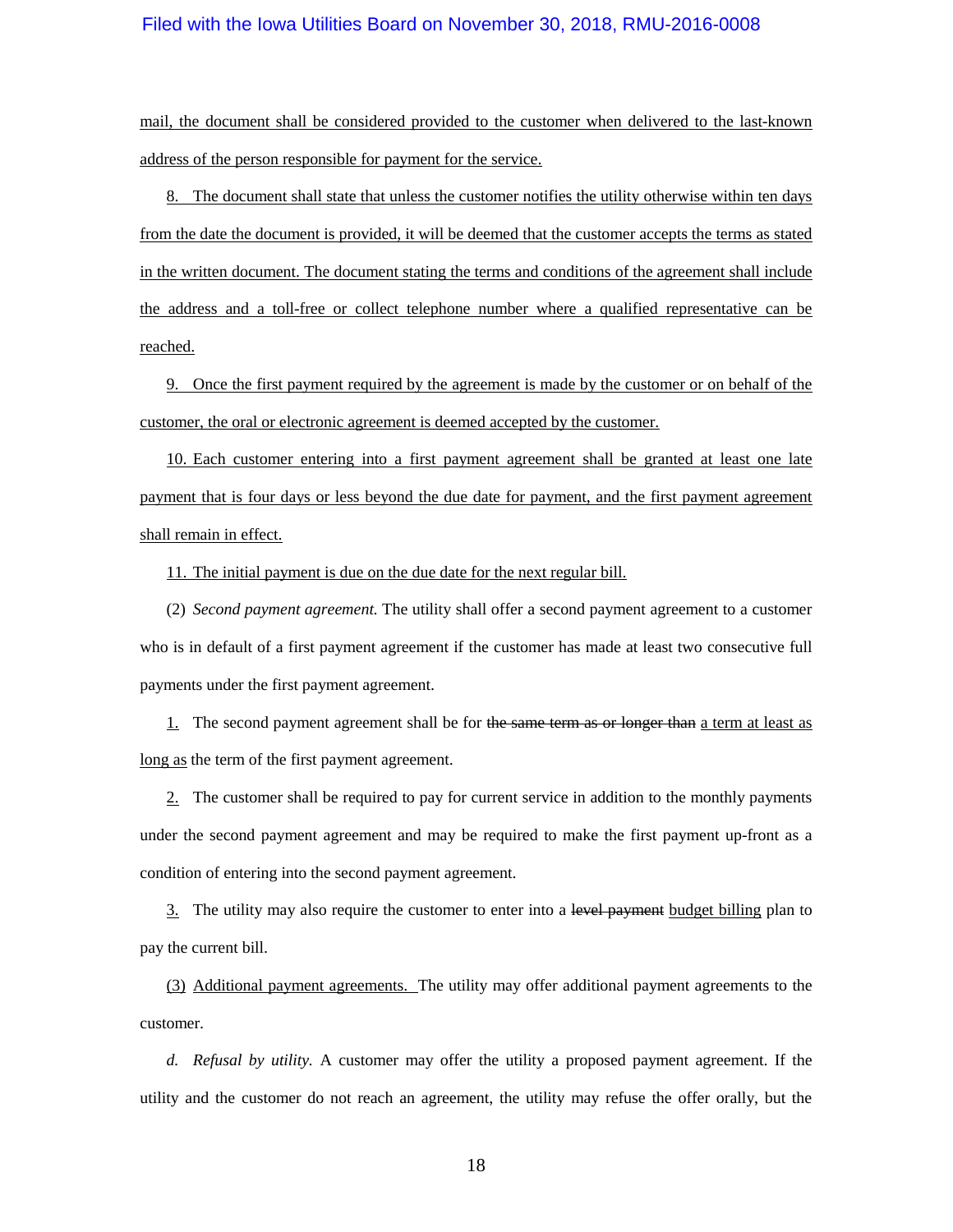mail, the document shall be considered provided to the customer when delivered to the last-known address of the person responsible for payment for the service.

8. The document shall state that unless the customer notifies the utility otherwise within ten days from the date the document is provided, it will be deemed that the customer accepts the terms as stated in the written document. The document stating the terms and conditions of the agreement shall include the address and a toll-free or collect telephone number where a qualified representative can be reached.

9. Once the first payment required by the agreement is made by the customer or on behalf of the customer, the oral or electronic agreement is deemed accepted by the customer.

10. Each customer entering into a first payment agreement shall be granted at least one late payment that is four days or less beyond the due date for payment, and the first payment agreement shall remain in effect.

11. The initial payment is due on the due date for the next regular bill.

(2) *Second payment agreement.* The utility shall offer a second payment agreement to a customer who is in default of a first payment agreement if the customer has made at least two consecutive full payments under the first payment agreement.

1. The second payment agreement shall be for the same term as or longer than a term at least as long as the term of the first payment agreement.

2. The customer shall be required to pay for current service in addition to the monthly payments under the second payment agreement and may be required to make the first payment up-front as a condition of entering into the second payment agreement.

3. The utility may also require the customer to enter into a level payment budget billing plan to pay the current bill.

(3) Additional payment agreements. The utility may offer additional payment agreements to the customer.

*d. Refusal by utility.* A customer may offer the utility a proposed payment agreement. If the utility and the customer do not reach an agreement, the utility may refuse the offer orally, but the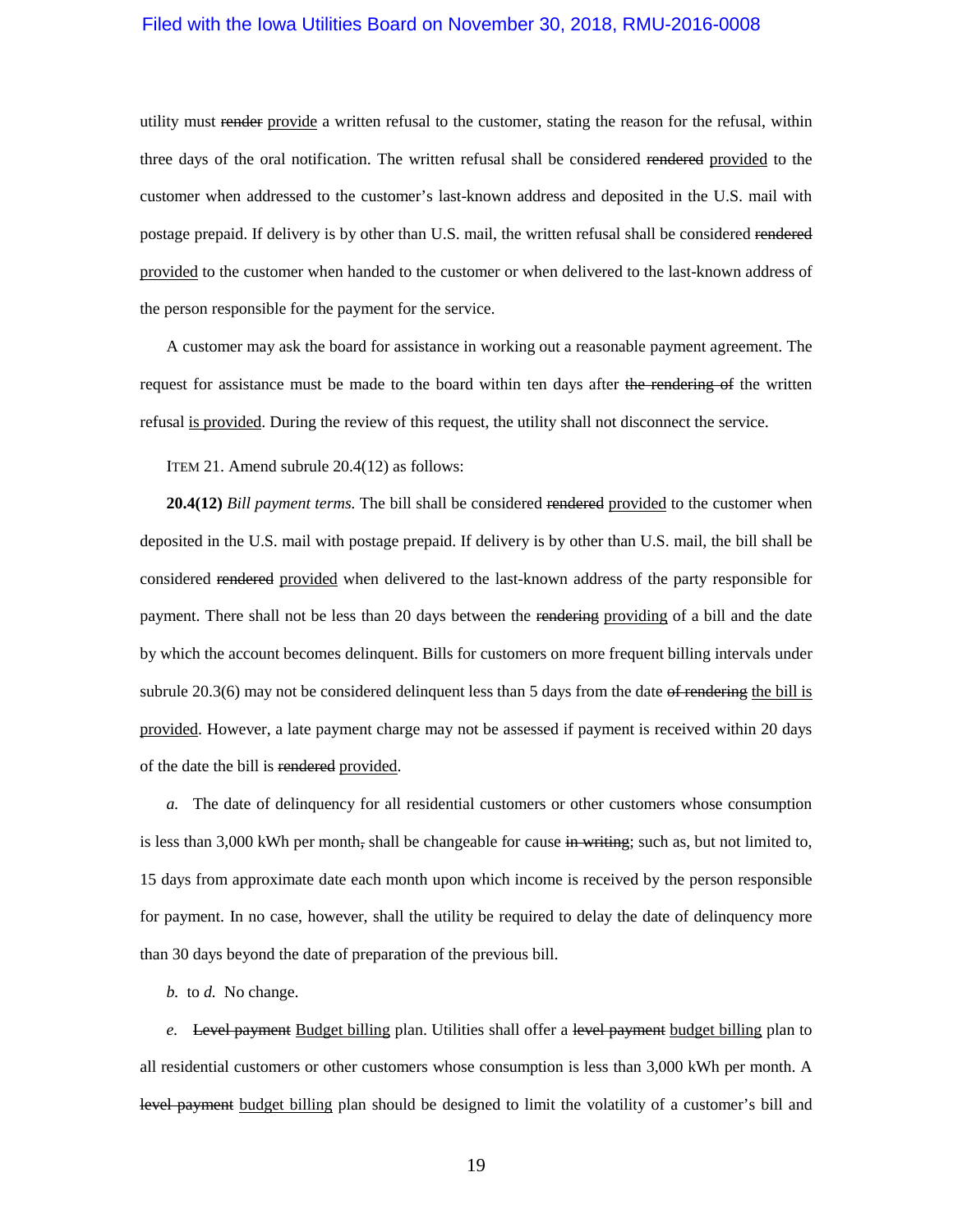utility must render provide a written refusal to the customer, stating the reason for the refusal, within three days of the oral notification. The written refusal shall be considered rendered provided to the customer when addressed to the customer's last-known address and deposited in the U.S. mail with postage prepaid. If delivery is by other than U.S. mail, the written refusal shall be considered rendered provided to the customer when handed to the customer or when delivered to the last-known address of the person responsible for the payment for the service.

A customer may ask the board for assistance in working out a reasonable payment agreement. The request for assistance must be made to the board within ten days after the rendering of the written refusal is provided. During the review of this request, the utility shall not disconnect the service.

ITEM 21. Amend subrule 20.4(12) as follows:

**20.4(12)** *Bill payment terms*. The bill shall be considered rendered provided to the customer when deposited in the U.S. mail with postage prepaid. If delivery is by other than U.S. mail, the bill shall be considered rendered provided when delivered to the last-known address of the party responsible for payment. There shall not be less than 20 days between the rendering providing of a bill and the date by which the account becomes delinquent. Bills for customers on more frequent billing intervals under subrule  $20.3(6)$  may not be considered delinquent less than 5 days from the date of rendering the bill is provided. However, a late payment charge may not be assessed if payment is received within 20 days of the date the bill is rendered provided.

*a.* The date of delinquency for all residential customers or other customers whose consumption is less than 3,000 kWh per month, shall be changeable for cause  $\frac{1}{2}$  when  $\frac{1}{2}$  such as, but not limited to, 15 days from approximate date each month upon which income is received by the person responsible for payment. In no case, however, shall the utility be required to delay the date of delinquency more than 30 days beyond the date of preparation of the previous bill.

*b.* to *d.* No change.

*e.* Level payment Budget billing plan. Utilities shall offer a level payment budget billing plan to all residential customers or other customers whose consumption is less than 3,000 kWh per month. A level payment budget billing plan should be designed to limit the volatility of a customer's bill and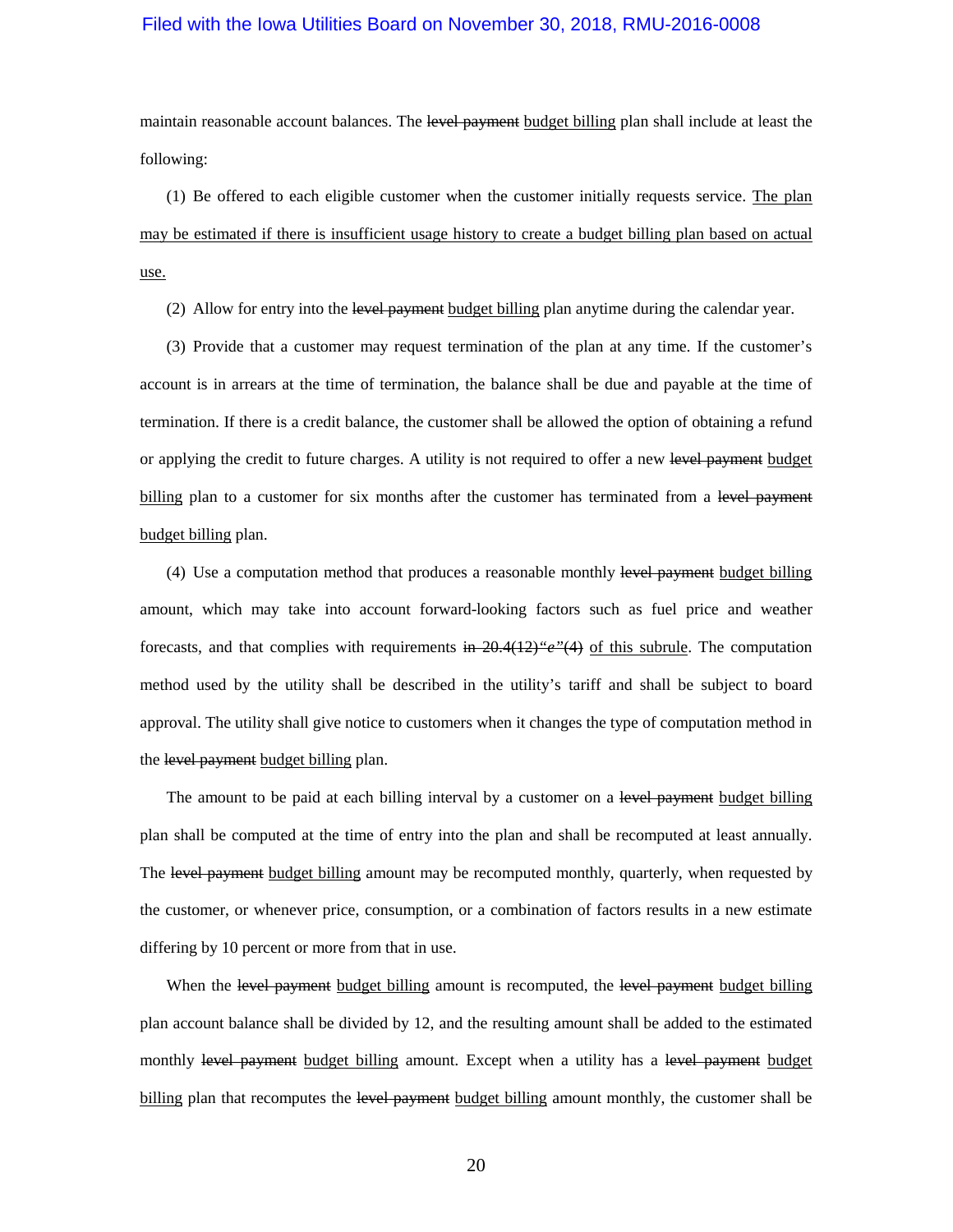maintain reasonable account balances. The level payment budget billing plan shall include at least the following:

(1) Be offered to each eligible customer when the customer initially requests service. The plan may be estimated if there is insufficient usage history to create a budget billing plan based on actual use.

(2) Allow for entry into the level payment budget billing plan anytime during the calendar year.

(3) Provide that a customer may request termination of the plan at any time. If the customer's account is in arrears at the time of termination, the balance shall be due and payable at the time of termination. If there is a credit balance, the customer shall be allowed the option of obtaining a refund or applying the credit to future charges. A utility is not required to offer a new level payment budget billing plan to a customer for six months after the customer has terminated from a level payment budget billing plan.

(4) Use a computation method that produces a reasonable monthly level payment budget billing amount, which may take into account forward-looking factors such as fuel price and weather forecasts, and that complies with requirements in  $20.4(12)^{6}e^{i\theta}$  of this subrule. The computation method used by the utility shall be described in the utility's tariff and shall be subject to board approval. The utility shall give notice to customers when it changes the type of computation method in the level payment budget billing plan.

The amount to be paid at each billing interval by a customer on a level payment budget billing plan shall be computed at the time of entry into the plan and shall be recomputed at least annually. The level payment budget billing amount may be recomputed monthly, quarterly, when requested by the customer, or whenever price, consumption, or a combination of factors results in a new estimate differing by 10 percent or more from that in use.

When the level payment budget billing amount is recomputed, the level payment budget billing plan account balance shall be divided by 12, and the resulting amount shall be added to the estimated monthly level payment budget billing amount. Except when a utility has a level payment budget billing plan that recomputes the level payment budget billing amount monthly, the customer shall be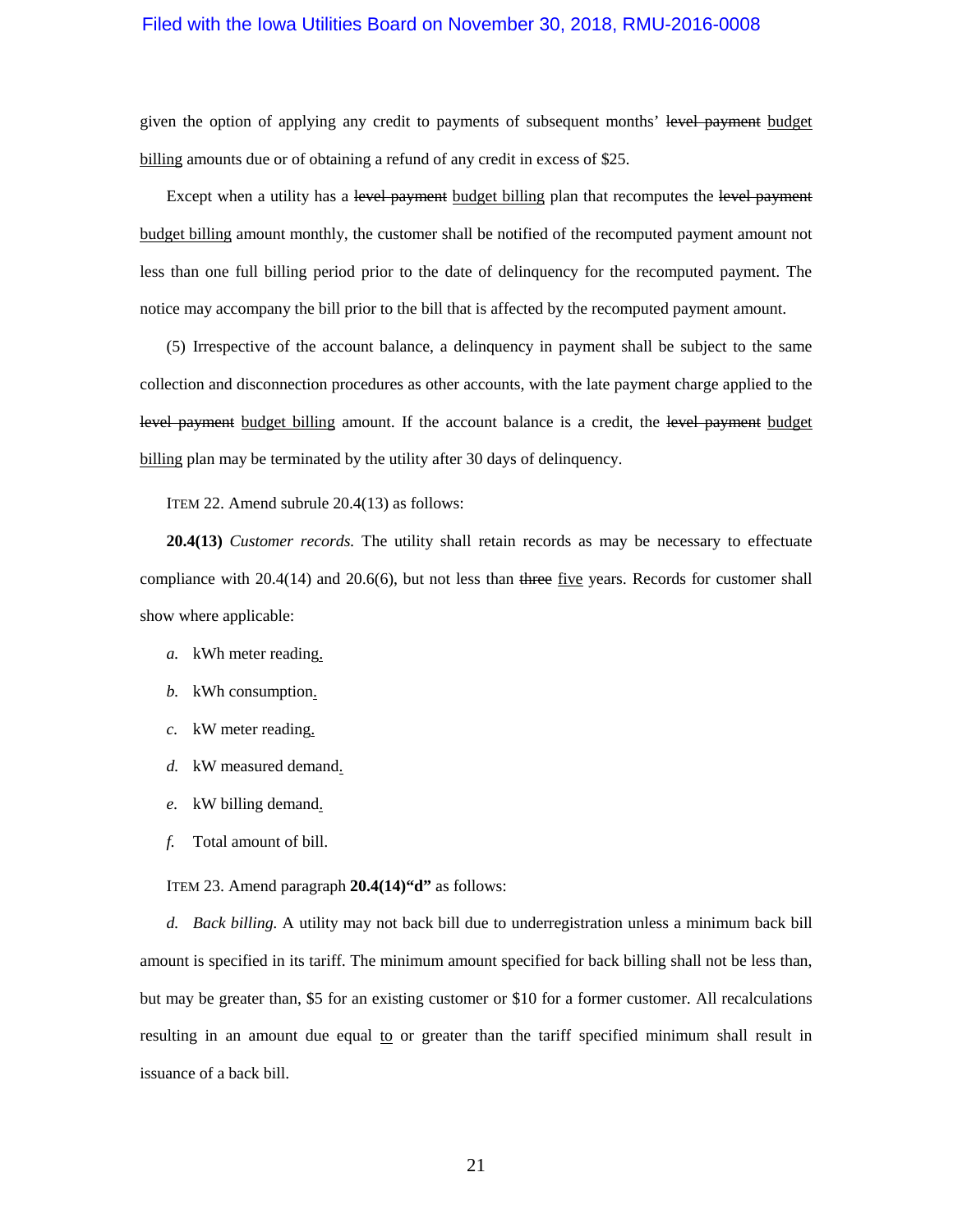given the option of applying any credit to payments of subsequent months' level payment budget billing amounts due or of obtaining a refund of any credit in excess of \$25.

Except when a utility has a level payment budget billing plan that recomputes the level payment budget billing amount monthly, the customer shall be notified of the recomputed payment amount not less than one full billing period prior to the date of delinquency for the recomputed payment. The notice may accompany the bill prior to the bill that is affected by the recomputed payment amount.

(5) Irrespective of the account balance, a delinquency in payment shall be subject to the same collection and disconnection procedures as other accounts, with the late payment charge applied to the level payment budget billing amount. If the account balance is a credit, the level payment budget billing plan may be terminated by the utility after 30 days of delinquency.

ITEM 22. Amend subrule 20.4(13) as follows:

**20.4(13)** *Customer records.* The utility shall retain records as may be necessary to effectuate compliance with  $20.4(14)$  and  $20.6(6)$ , but not less than three five years. Records for customer shall show where applicable:

- *a.* kWh meter reading.
- *b.* kWh consumption.
- *c.* kW meter reading.
- *d.* kW measured demand.
- *e.* kW billing demand.
- *f.* Total amount of bill.

ITEM 23. Amend paragraph **20.4(14)"d"** as follows:

*d. Back billing.* A utility may not back bill due to underregistration unless a minimum back bill amount is specified in its tariff. The minimum amount specified for back billing shall not be less than, but may be greater than, \$5 for an existing customer or \$10 for a former customer. All recalculations resulting in an amount due equal to or greater than the tariff specified minimum shall result in issuance of a back bill.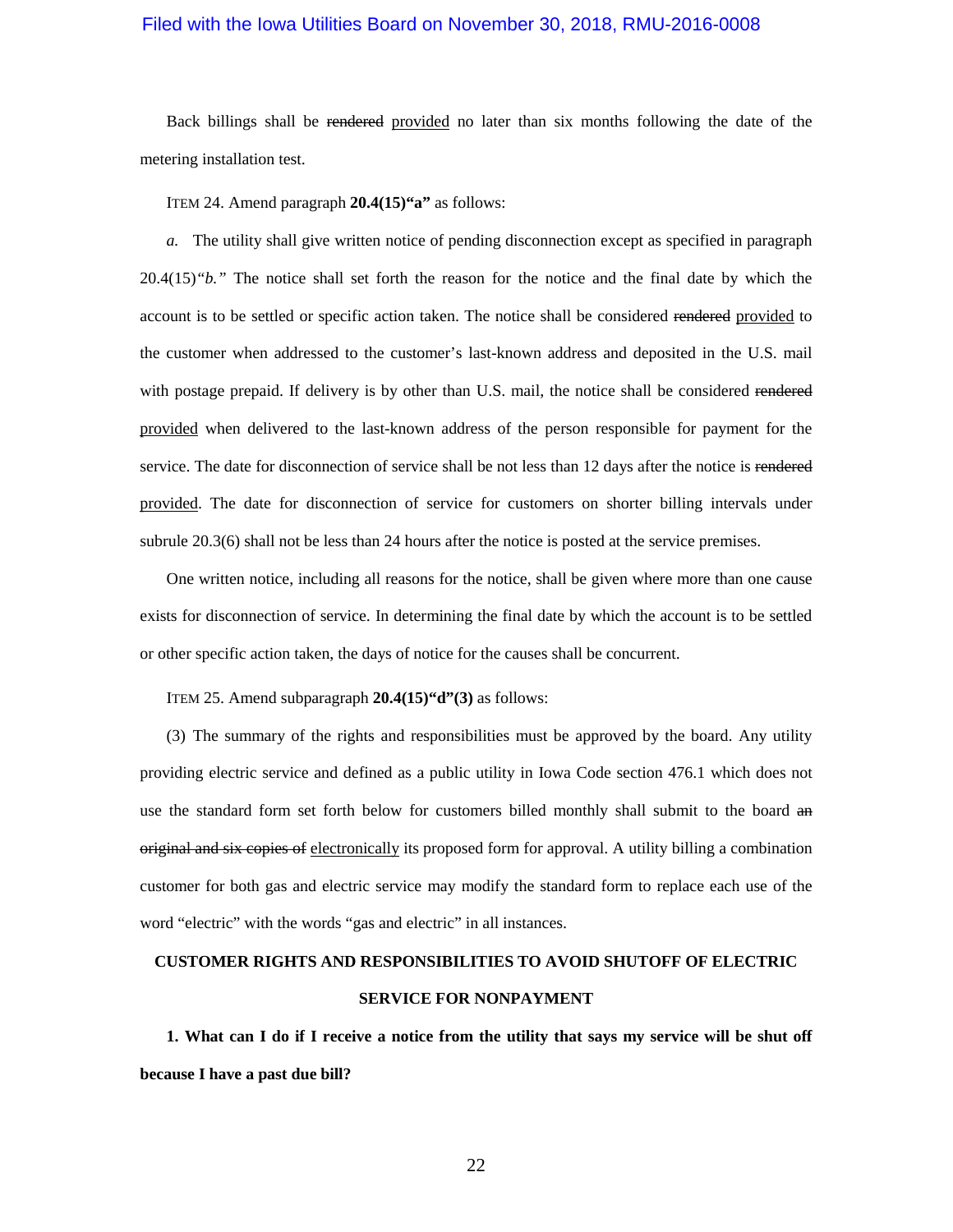Back billings shall be rendered provided no later than six months following the date of the metering installation test.

ITEM 24. Amend paragraph **20.4(15)"a"** as follows:

*a.* The utility shall give written notice of pending disconnection except as specified in paragraph [20.4\(15\)](https://www.legis.iowa.gov/docs/iac/rule/199.20.4.pdf)*"b."* The notice shall set forth the reason for the notice and the final date by which the account is to be settled or specific action taken. The notice shall be considered rendered provided to the customer when addressed to the customer's last-known address and deposited in the U.S. mail with postage prepaid. If delivery is by other than U.S. mail, the notice shall be considered rendered provided when delivered to the last-known address of the person responsible for payment for the service. The date for disconnection of service shall be not less than 12 days after the notice is rendered provided. The date for disconnection of service for customers on shorter billing intervals under subrule [20.3\(6\)](https://www.legis.iowa.gov/docs/iac/rule/199.20.3.pdf) shall not be less than 24 hours after the notice is posted at the service premises.

One written notice, including all reasons for the notice, shall be given where more than one cause exists for disconnection of service. In determining the final date by which the account is to be settled or other specific action taken, the days of notice for the causes shall be concurrent.

ITEM 25. Amend subparagraph **20.4(15)"d"(3)** as follows:

(3) The summary of the rights and responsibilities must be approved by the board. Any utility providing electric service and defined as a public utility in Iowa Code section [476.1](https://www.legis.iowa.gov/docs/ico/section/476.1.pdf) which does not use the standard form set forth below for customers billed monthly shall submit to the board and original and six copies of electronically its proposed form for approval. A utility billing a combination customer for both gas and electric service may modify the standard form to replace each use of the word "electric" with the words "gas and electric" in all instances.

# **CUSTOMER RIGHTS AND RESPONSIBILITIES TO AVOID SHUTOFF OF ELECTRIC**

#### **SERVICE FOR NONPAYMENT**

**1. What can I do if I receive a notice from the utility that says my service will be shut off because I have a past due bill?**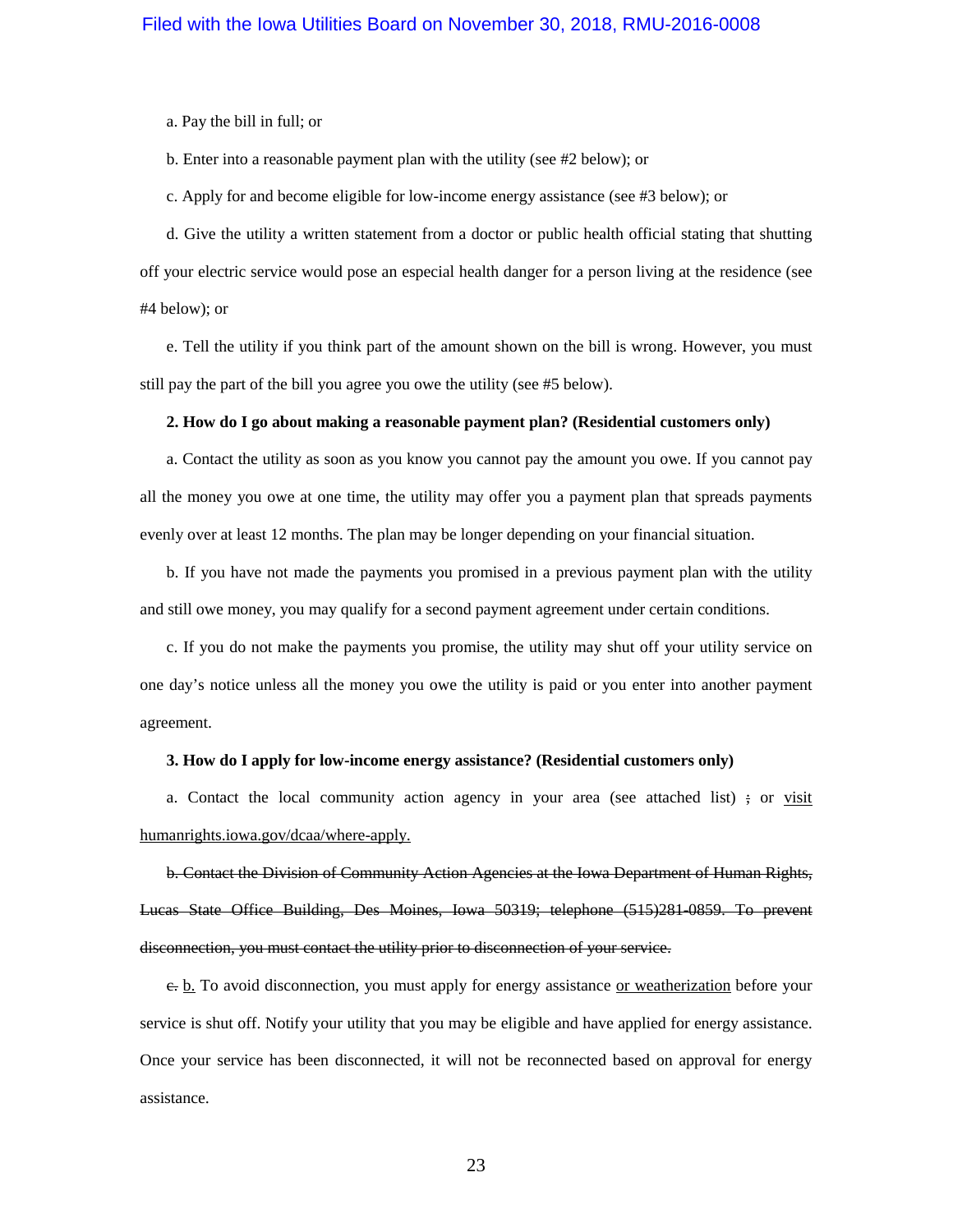a. Pay the bill in full; or

b. Enter into a reasonable payment plan with the utility (see #2 below); or

c. Apply for and become eligible for low-income energy assistance (see #3 below); or

d. Give the utility a written statement from a doctor or public health official stating that shutting off your electric service would pose an especial health danger for a person living at the residence (see #4 below); or

e. Tell the utility if you think part of the amount shown on the bill is wrong. However, you must still pay the part of the bill you agree you owe the utility (see #5 below).

#### **2. How do I go about making a reasonable payment plan? (Residential customers only)**

a. Contact the utility as soon as you know you cannot pay the amount you owe. If you cannot pay all the money you owe at one time, the utility may offer you a payment plan that spreads payments evenly over at least 12 months. The plan may be longer depending on your financial situation.

b. If you have not made the payments you promised in a previous payment plan with the utility and still owe money, you may qualify for a second payment agreement under certain conditions.

c. If you do not make the payments you promise, the utility may shut off your utility service on one day's notice unless all the money you owe the utility is paid or you enter into another payment agreement.

#### **3. How do I apply for low-income energy assistance? (Residential customers only)**

a. Contact the local community action agency in your area (see attached list)  $\div$  or visit humanrights.iowa.gov/dcaa/where-apply.

b. Contact the Division of Community Action Agencies at the Iowa Department of Human Rights, Lucas State Office Building, Des Moines, Iowa 50319; telephone (515)281-0859. To prevent disconnection, you must contact the utility prior to disconnection of your service.

c. b. To avoid disconnection, you must apply for energy assistance or weatherization before your service is shut off. Notify your utility that you may be eligible and have applied for energy assistance. Once your service has been disconnected, it will not be reconnected based on approval for energy assistance.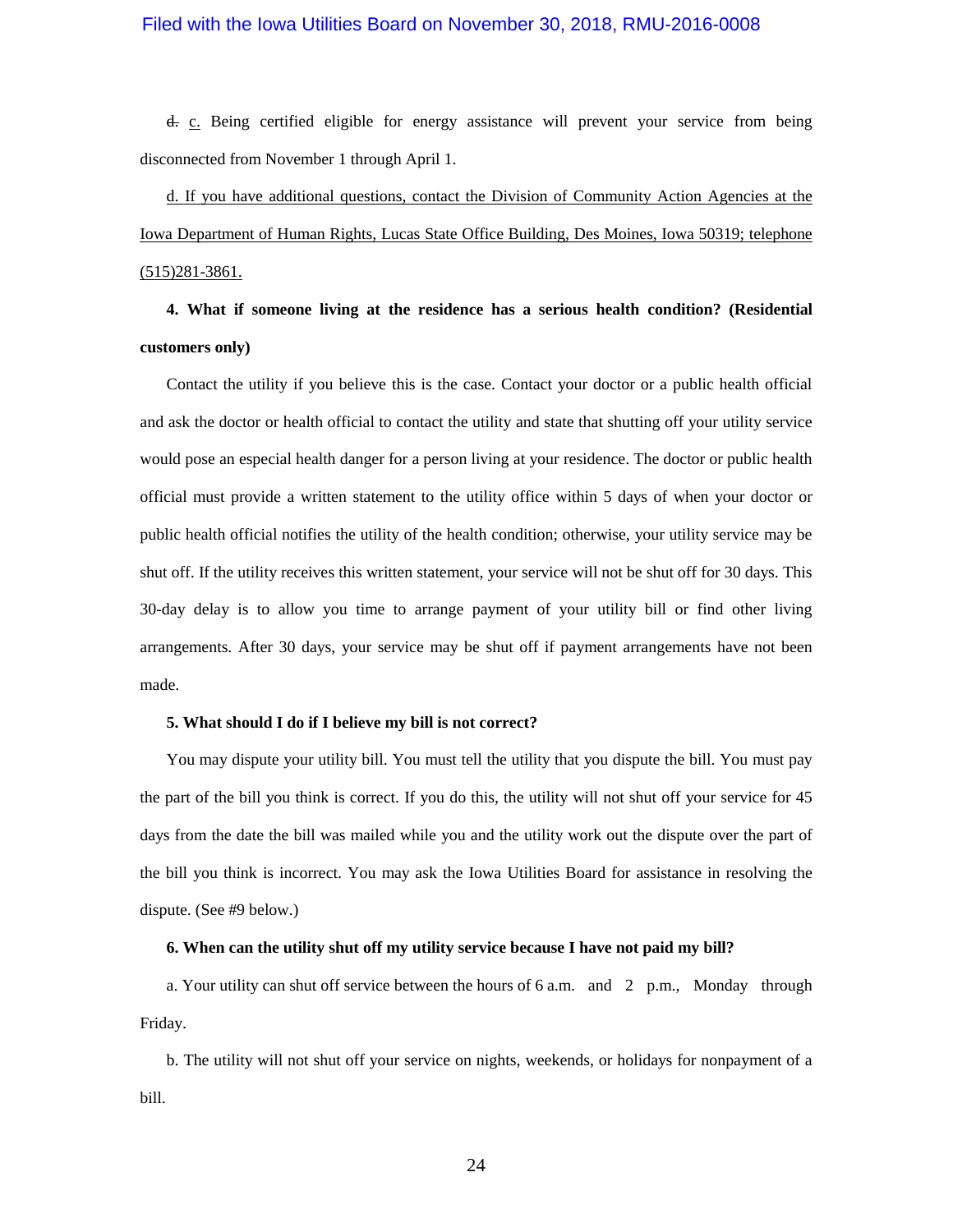d. c. Being certified eligible for energy assistance will prevent your service from being disconnected from November 1 through April 1.

# d. If you have additional questions, contact the Division of Community Action Agencies at the Iowa Department of Human Rights, Lucas State Office Building, Des Moines, Iowa 50319; telephone (515)281-3861.

**4. What if someone living at the residence has a serious health condition? (Residential customers only)**

Contact the utility if you believe this is the case. Contact your doctor or a public health official and ask the doctor or health official to contact the utility and state that shutting off your utility service would pose an especial health danger for a person living at your residence. The doctor or public health official must provide a written statement to the utility office within 5 days of when your doctor or public health official notifies the utility of the health condition; otherwise, your utility service may be shut off. If the utility receives this written statement, your service will not be shut off for 30 days. This 30-day delay is to allow you time to arrange payment of your utility bill or find other living arrangements. After 30 days, your service may be shut off if payment arrangements have not been made.

#### **5. What should I do if I believe my bill is not correct?**

You may dispute your utility bill. You must tell the utility that you dispute the bill. You must pay the part of the bill you think is correct. If you do this, the utility will not shut off your service for 45 days from the date the bill was mailed while you and the utility work out the dispute over the part of the bill you think is incorrect. You may ask the Iowa Utilities Board for assistance in resolving the dispute. (See #9 below.)

#### **6. When can the utility shut off my utility service because I have not paid my bill?**

a. Your utility can shut off service between the hours of 6 a.m. and 2 p.m., Monday through Friday.

b. The utility will not shut off your service on nights, weekends, or holidays for nonpayment of a bill.

24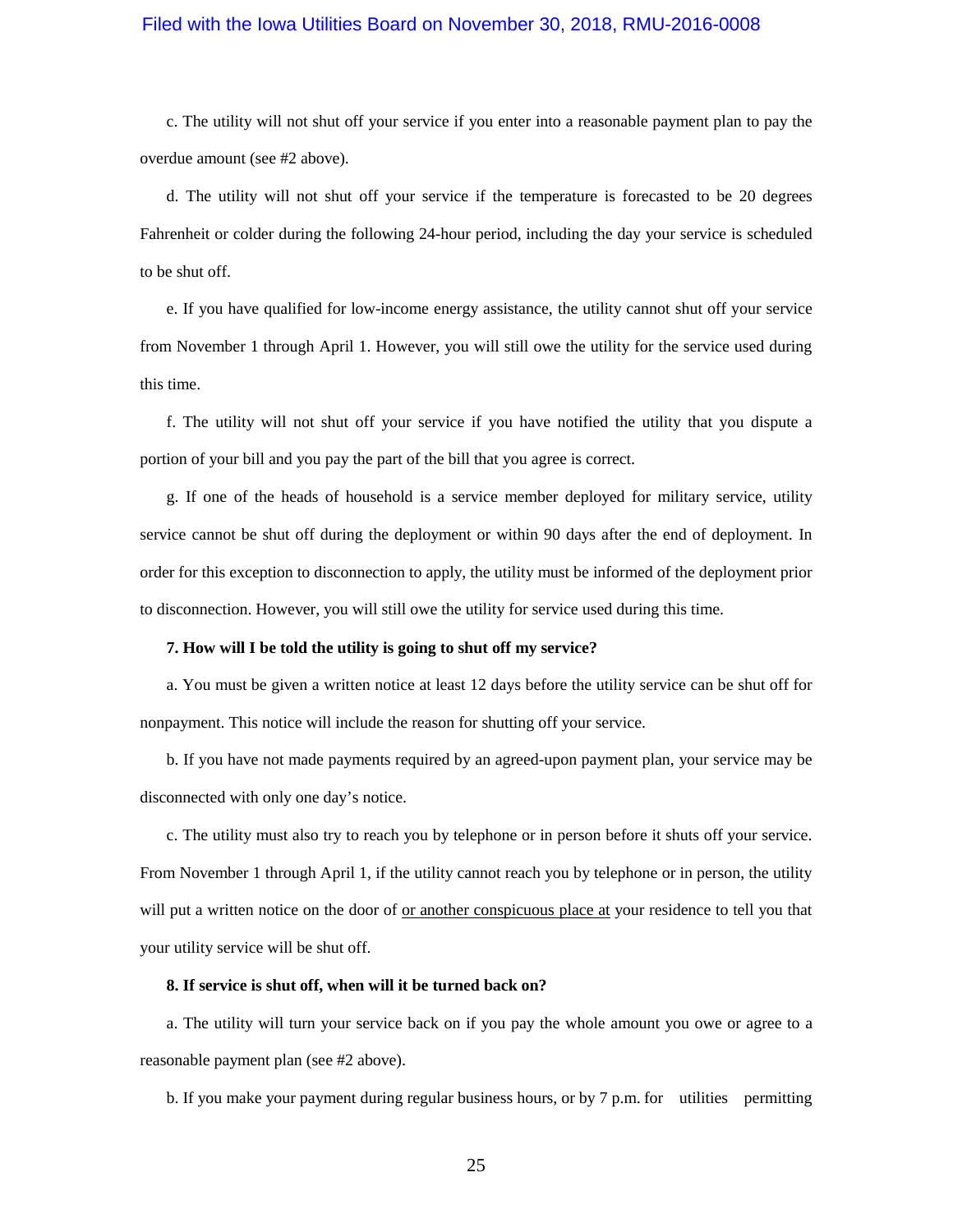c. The utility will not shut off your service if you enter into a reasonable payment plan to pay the overdue amount (see #2 above).

d. The utility will not shut off your service if the temperature is forecasted to be 20 degrees Fahrenheit or colder during the following 24-hour period, including the day your service is scheduled to be shut off.

e. If you have qualified for low-income energy assistance, the utility cannot shut off your service from November 1 through April 1. However, you will still owe the utility for the service used during this time.

f. The utility will not shut off your service if you have notified the utility that you dispute a portion of your bill and you pay the part of the bill that you agree is correct.

g. If one of the heads of household is a service member deployed for military service, utility service cannot be shut off during the deployment or within 90 days after the end of deployment. In order for this exception to disconnection to apply, the utility must be informed of the deployment prior to disconnection. However, you will still owe the utility for service used during this time.

#### **7. How will I be told the utility is going to shut off my service?**

a. You must be given a written notice at least 12 days before the utility service can be shut off for nonpayment. This notice will include the reason for shutting off your service.

b. If you have not made payments required by an agreed-upon payment plan, your service may be disconnected with only one day's notice.

c. The utility must also try to reach you by telephone or in person before it shuts off your service. From November 1 through April 1, if the utility cannot reach you by telephone or in person, the utility will put a written notice on the door of or another conspicuous place at your residence to tell you that your utility service will be shut off.

#### **8. If service is shut off, when will it be turned back on?**

a. The utility will turn your service back on if you pay the whole amount you owe or agree to a reasonable payment plan (see #2 above).

b. If you make your payment during regular business hours, or by 7 p.m. for utilities permitting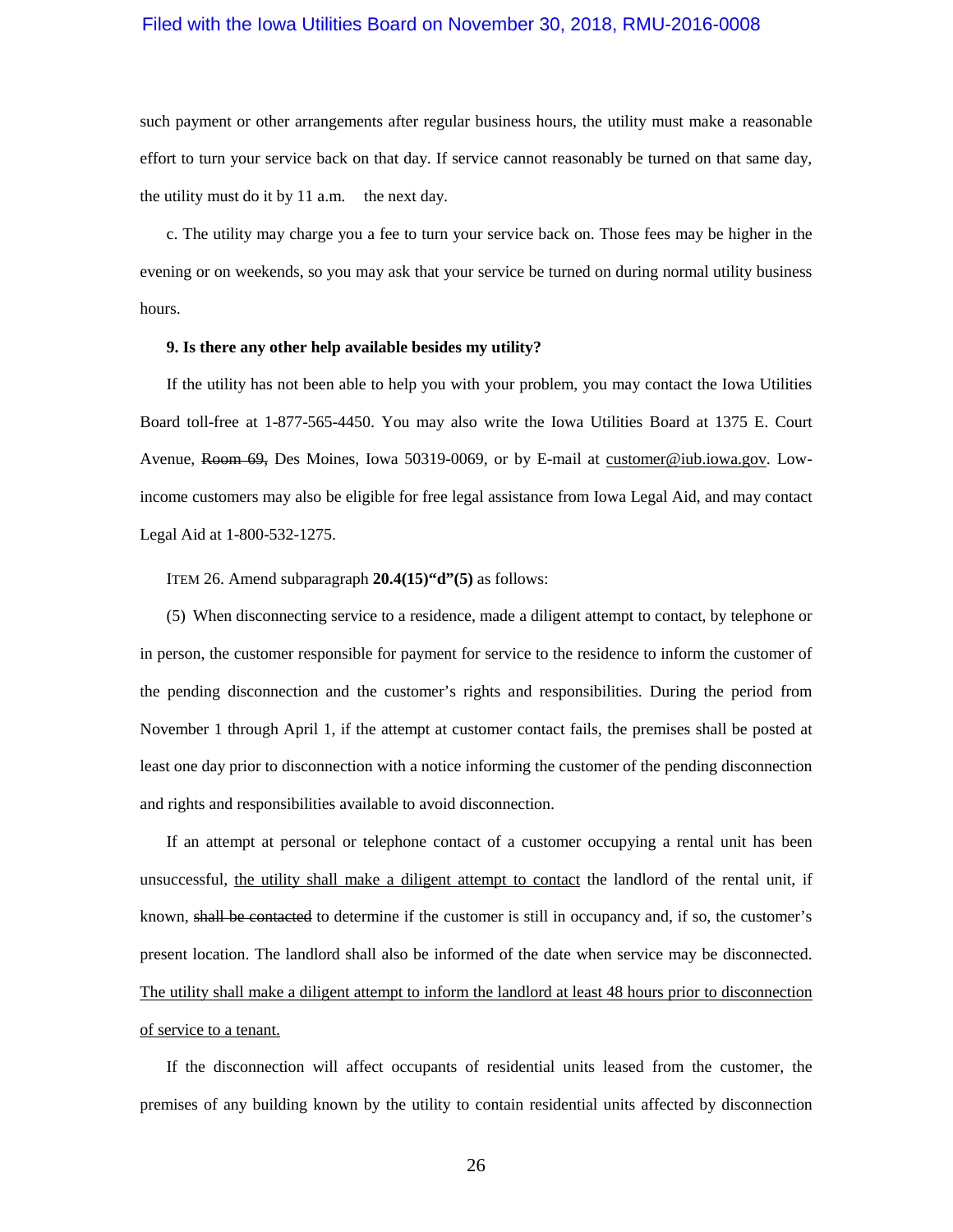such payment or other arrangements after regular business hours, the utility must make a reasonable effort to turn your service back on that day. If service cannot reasonably be turned on that same day, the utility must do it by 11 a.m. the next day.

c. The utility may charge you a fee to turn your service back on. Those fees may be higher in the evening or on weekends, so you may ask that your service be turned on during normal utility business hours.

#### **9. Is there any other help available besides my utility?**

If the utility has not been able to help you with your problem, you may contact the Iowa Utilities Board toll-free at 1-877-565-4450. You may also write the Iowa Utilities Board at 1375 E. Court Avenue, Room 69, Des Moines, Iowa 50319-0069, or by E-mail at [customer@iub.iowa.gov.](mailto:customer@iub.iowa.gov) Lowincome customers may also be eligible for free legal assistance from Iowa Legal Aid, and may contact Legal Aid at 1-800-532-1275.

ITEM 26. Amend subparagraph **20.4(15)"d"(5)** as follows:

(5) When disconnecting service to a residence, made a diligent attempt to contact, by telephone or in person, the customer responsible for payment for service to the residence to inform the customer of the pending disconnection and the customer's rights and responsibilities. During the period from November 1 through April 1, if the attempt at customer contact fails, the premises shall be posted at least one day prior to disconnection with a notice informing the customer of the pending disconnection and rights and responsibilities available to avoid disconnection.

If an attempt at personal or telephone contact of a customer occupying a rental unit has been unsuccessful, the utility shall make a diligent attempt to contact the landlord of the rental unit, if known, shall be contacted to determine if the customer is still in occupancy and, if so, the customer's present location. The landlord shall also be informed of the date when service may be disconnected. The utility shall make a diligent attempt to inform the landlord at least 48 hours prior to disconnection of service to a tenant.

If the disconnection will affect occupants of residential units leased from the customer, the premises of any building known by the utility to contain residential units affected by disconnection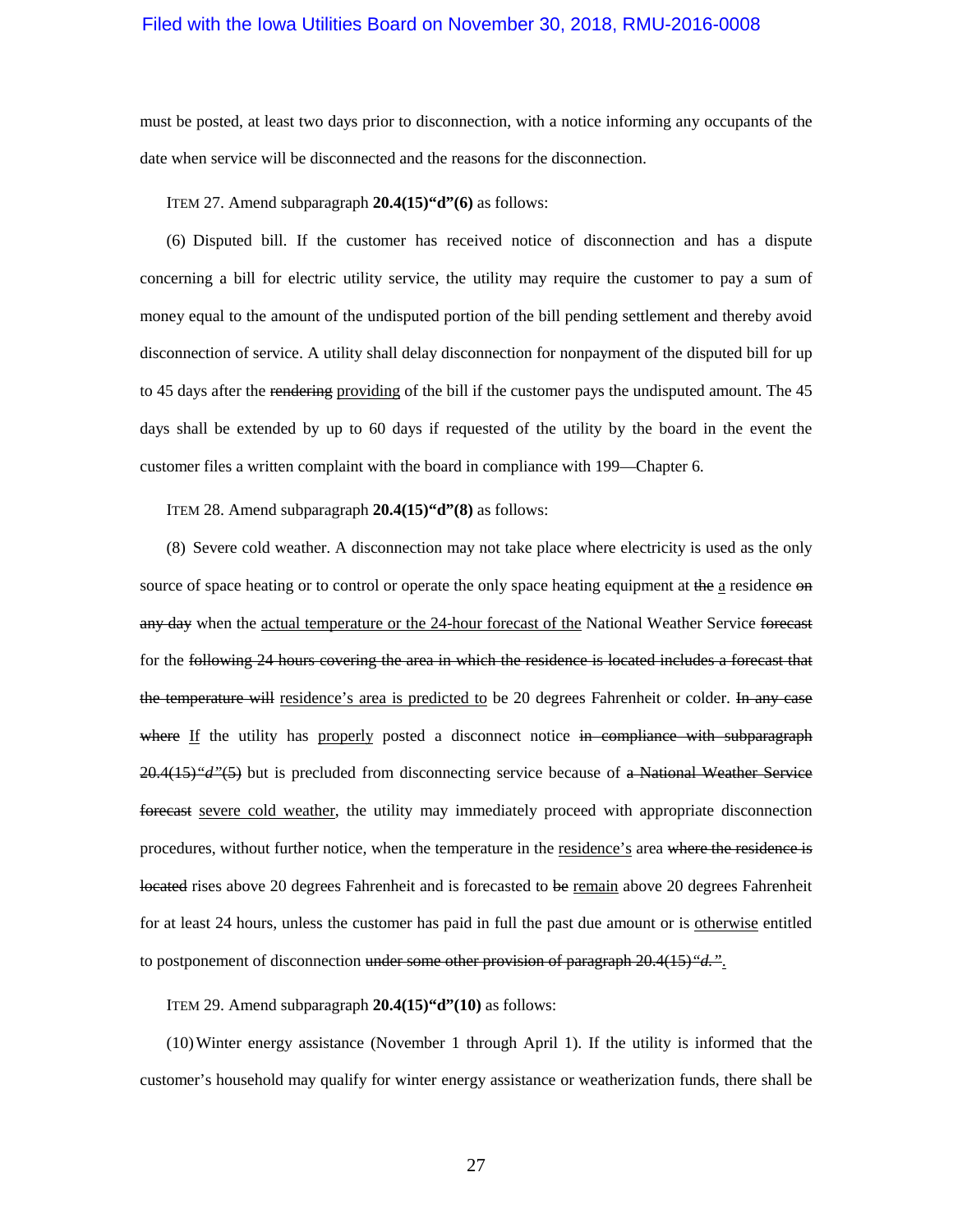must be posted, at least two days prior to disconnection, with a notice informing any occupants of the date when service will be disconnected and the reasons for the disconnection.

#### ITEM 27. Amend subparagraph **20.4(15)"d"(6)** as follows:

(6) Disputed bill. If the customer has received notice of disconnection and has a dispute concerning a bill for electric utility service, the utility may require the customer to pay a sum of money equal to the amount of the undisputed portion of the bill pending settlement and thereby avoid disconnection of service. A utility shall delay disconnection for nonpayment of the disputed bill for up to 45 days after the rendering providing of the bill if the customer pays the undisputed amount. The 45 days shall be extended by up to 60 days if requested of the utility by the board in the event the customer files a written complaint with the board in compliance with [199—Chapter 6.](https://www.legis.iowa.gov/docs/iac/chapter/199.6.pdf)

ITEM 28. Amend subparagraph **20.4(15)"d"(8)** as follows:

(8) Severe cold weather. A disconnection may not take place where electricity is used as the only source of space heating or to control or operate the only space heating equipment at the a residence on any day when the actual temperature or the 24-hour forecast of the National Weather Service forecast for the following 24 hours covering the area in which the residence is located includes a forecast that the temperature will residence's area is predicted to be 20 degrees Fahrenheit or colder. In any case where If the utility has properly posted a disconnect notice in compliance with subparagraph [20.4\(15\)](https://www.legis.iowa.gov/docs/iac/rule/199.20.4.pdf)*"d"*(5) but is precluded from disconnecting service because of a National Weather Service forecast severe cold weather, the utility may immediately proceed with appropriate disconnection procedures, without further notice, when the temperature in the residence's area where the residence is located rises above 20 degrees Fahrenheit and is forecasted to be remain above 20 degrees Fahrenheit for at least 24 hours, unless the customer has paid in full the past due amount or is otherwise entitled to postponement of disconnection under some other provision of paragraph [20.4\(15\)](https://www.legis.iowa.gov/docs/iac/rule/199.20.4.pdf)<sup>"</sup>d.".

ITEM 29. Amend subparagraph **20.4(15)"d"(10)** as follows:

(10)Winter energy assistance (November 1 through April 1). If the utility is informed that the customer's household may qualify for winter energy assistance or weatherization funds, there shall be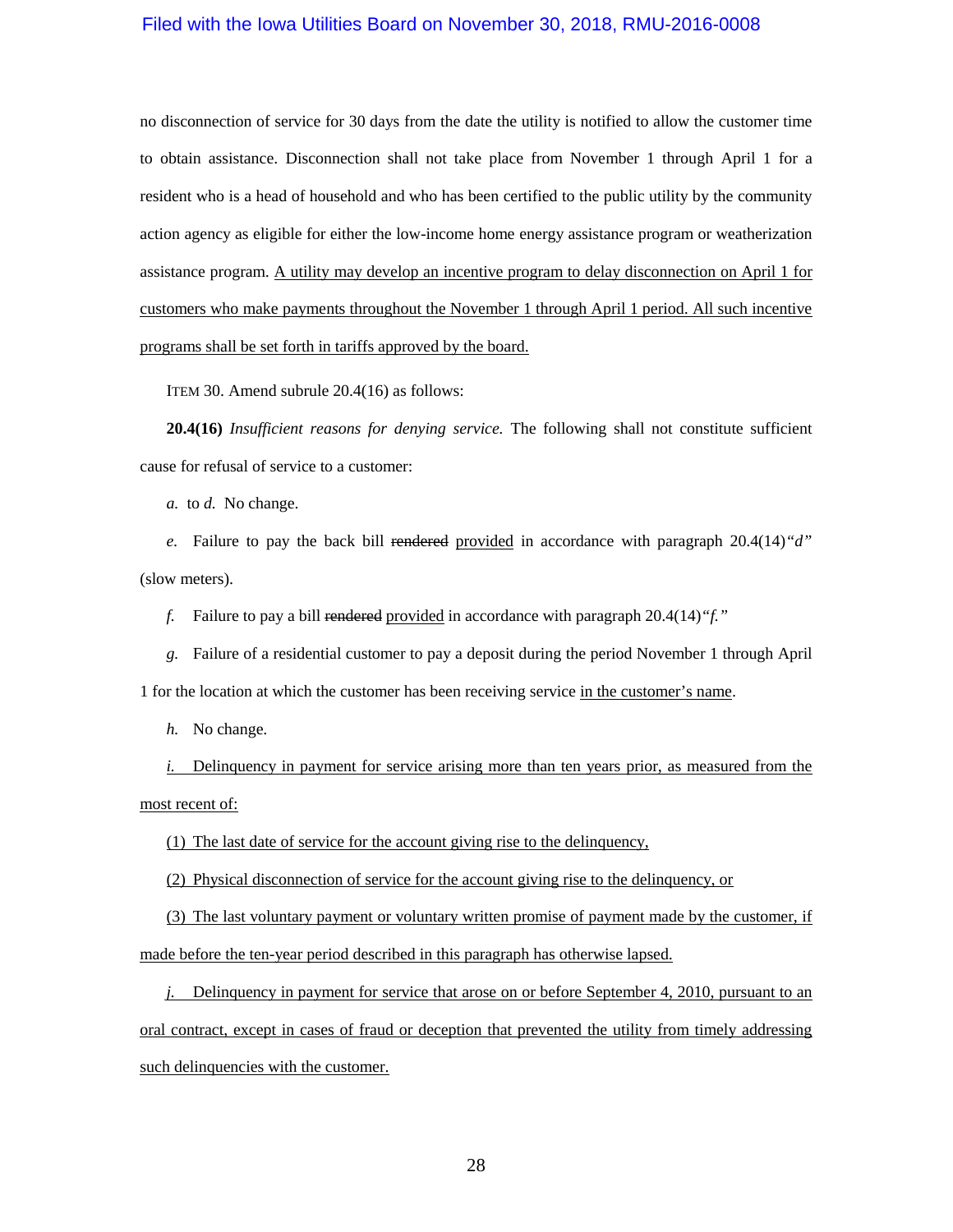no disconnection of service for 30 days from the date the utility is notified to allow the customer time to obtain assistance. Disconnection shall not take place from November 1 through April 1 for a resident who is a head of household and who has been certified to the public utility by the community action agency as eligible for either the low-income home energy assistance program or weatherization assistance program. A utility may develop an incentive program to delay disconnection on April 1 for customers who make payments throughout the November 1 through April 1 period. All such incentive programs shall be set forth in tariffs approved by the board.

ITEM 30. Amend subrule 20.4(16) as follows:

**20.4(16)** *Insufficient reasons for denying service.* The following shall not constitute sufficient cause for refusal of service to a customer:

*a.* to *d.* No change.

*e.* Failure to pay the back bill rendered provided in accordance with paragraph [20.4\(14\)](https://www.legis.iowa.gov/docs/iac/rule/199.20.4.pdf)<sup>*"d"*</sup> (slow meters).

*f.* Failure to pay a bill rendered provided in accordance with paragrap[h 20.4\(14\)](https://www.legis.iowa.gov/docs/iac/rule/199.20.4.pdf)*"f."*

*g.* Failure of a residential customer to pay a deposit during the period November 1 through April 1 for the location at which the customer has been receiving service in the customer's name.

*h.* No change.

*i.* Delinquency in payment for service arising more than ten years prior, as measured from the most recent of:

(1) The last date of service for the account giving rise to the delinquency,

(2) Physical disconnection of service for the account giving rise to the delinquency, or

(3) The last voluntary payment or voluntary written promise of payment made by the customer, if

made before the ten-year period described in this paragraph has otherwise lapsed.

*j.* Delinquency in payment for service that arose on or before September 4, 2010, pursuant to an oral contract, except in cases of fraud or deception that prevented the utility from timely addressing such delinquencies with the customer.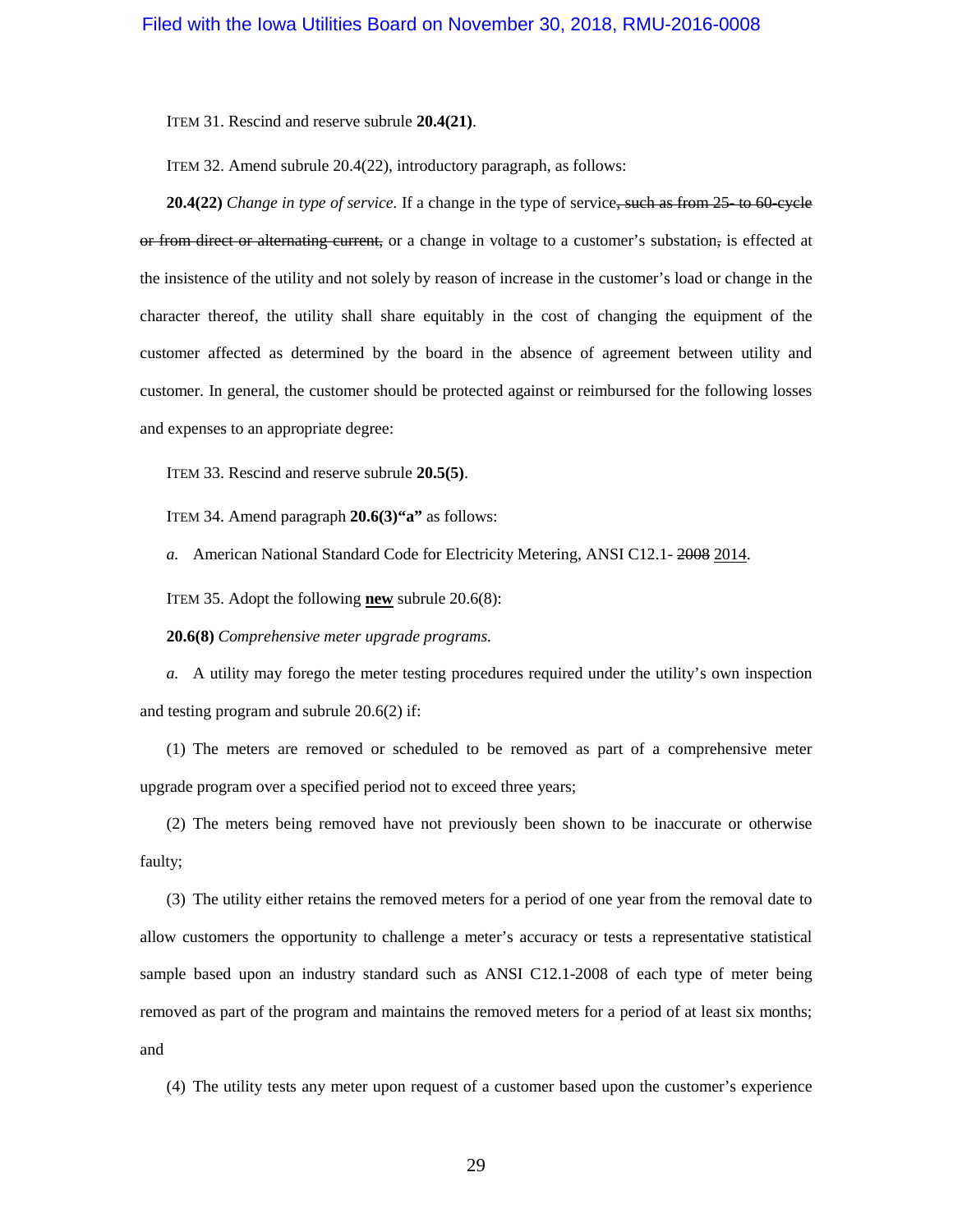ITEM 31. Rescind and reserve subrule **20.4(21)**.

ITEM 32. Amend subrule 20.4(22), introductory paragraph, as follows:

**20.4(22)** *Change in type of service*. If a change in the type of service, such as from 25- to 60-cycle or from direct or alternating current, or a change in voltage to a customer's substation, is effected at the insistence of the utility and not solely by reason of increase in the customer's load or change in the character thereof, the utility shall share equitably in the cost of changing the equipment of the customer affected as determined by the board in the absence of agreement between utility and customer. In general, the customer should be protected against or reimbursed for the following losses and expenses to an appropriate degree:

ITEM 33. Rescind and reserve subrule **20.5(5)**.

ITEM 34. Amend paragraph **20.6(3)"a"** as follows:

*a.* American National Standard Code for Electricity Metering, ANSI C12.1- 2008 2014.

ITEM 35. Adopt the following **new** subrule 20.6(8):

**20.6(8)** *Comprehensive meter upgrade programs.*

*a.* A utility may forego the meter testing procedures required under the utility's own inspection and testing program and [subrule 20.6\(2\)](https://www.legis.iowa.gov/docs/iac/rule/199.20.6.pdf) if:

(1) The meters are removed or scheduled to be removed as part of a comprehensive meter upgrade program over a specified period not to exceed three years;

(2) The meters being removed have not previously been shown to be inaccurate or otherwise faulty;

(3) The utility either retains the removed meters for a period of one year from the removal date to allow customers the opportunity to challenge a meter's accuracy or tests a representative statistical sample based upon an industry standard such as ANSI C12.1-2008 of each type of meter being removed as part of the program and maintains the removed meters for a period of at least six months; and

(4) The utility tests any meter upon request of a customer based upon the customer's experience

29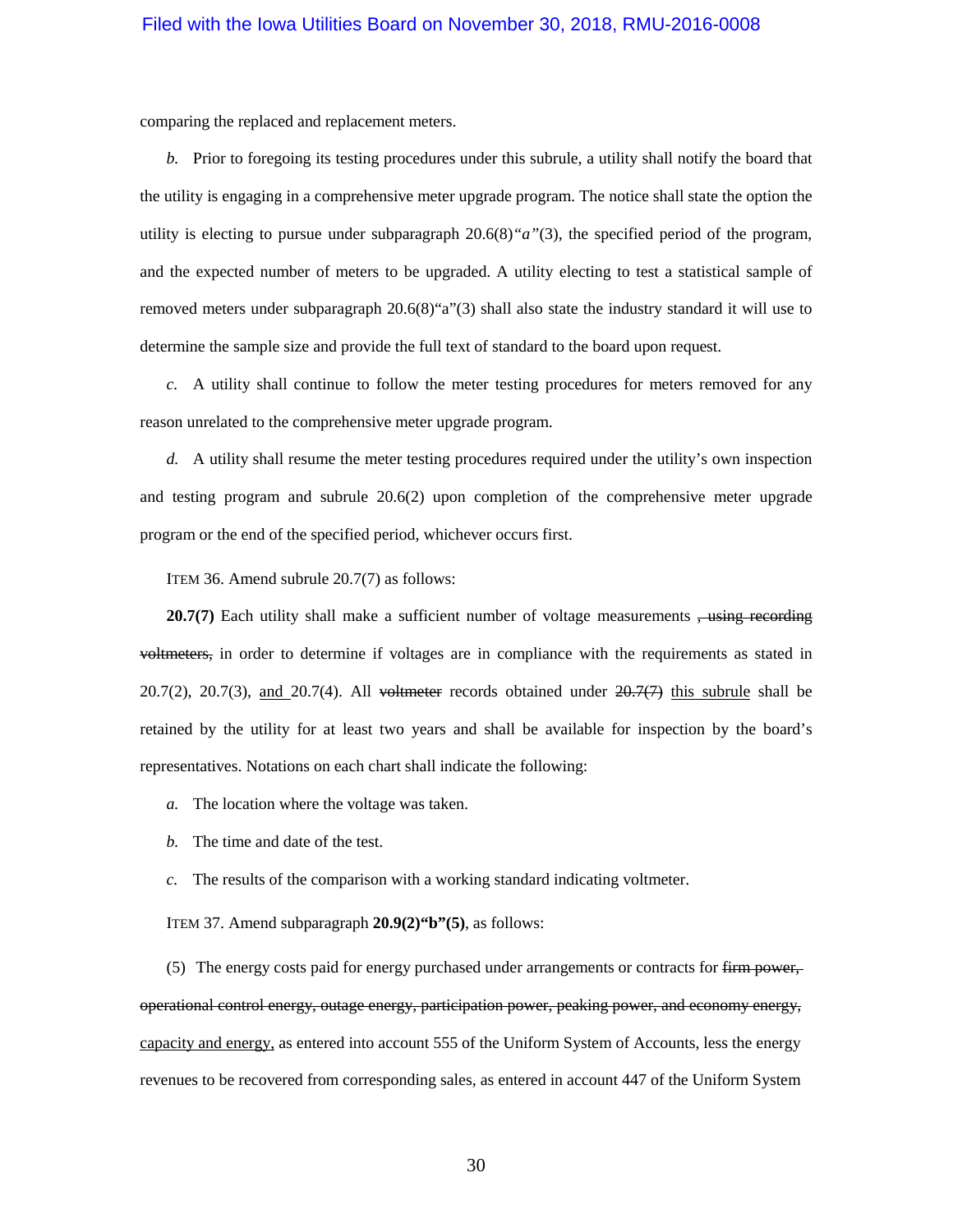comparing the replaced and replacement meters.

*b.* Prior to foregoing its testing procedures under this subrule, a utility shall notify the board that the utility is engaging in a comprehensive meter upgrade program. The notice shall state the option the utility is electing to pursue under [subparagraph 20.6\(8\)](https://www.legis.iowa.gov/docs/iac/rule/199.20.6.pdf)*"a"*(3), the specified period of the program, and the expected number of meters to be upgraded. A utility electing to test a statistical sample of removed meters under subparagraph 20.6(8)"a"(3) shall also state the industry standard it will use to determine the sample size and provide the full text of standard to the board upon request.

*c.* A utility shall continue to follow the meter testing procedures for meters removed for any reason unrelated to the comprehensive meter upgrade program.

*d.* A utility shall resume the meter testing procedures required under the utility's own inspection and testing program and [subrule 20.6\(2\)](https://www.legis.iowa.gov/docs/iac/rule/199.20.6.pdf) upon completion of the comprehensive meter upgrade program or the end of the specified period, whichever occurs first.

ITEM 36. Amend subrule 20.7(7) as follows:

**20.7(7)** Each utility shall make a sufficient number of voltage measurements <del>, using recording</del> voltmeters, in order to determine if voltages are in compliance with the requirements as stated in [20.7\(2\),](https://www.legis.iowa.gov/docs/iac/rule/199.20.7.pdf) [20.7\(3\),](https://www.legis.iowa.gov/docs/iac/rule/199.20.7.pdf) and [20.7\(4\).](https://www.legis.iowa.gov/docs/iac/rule/199.20.7.pdf) All voltmeter records obtained under  $20.7(7)$  this subrule shall be retained by the utility for at least two years and shall be available for inspection by the board's representatives. Notations on each chart shall indicate the following:

*a.* The location where the voltage was taken.

*b.* The time and date of the test.

*c.* The results of the comparison with a working standard indicating voltmeter.

ITEM 37. Amend subparagraph **20.9(2)"b"(5)**, as follows:

(5) The energy costs paid for energy purchased under arrangements or contracts for firm power, operational control energy, outage energy, participation power, peaking power, and economy energy, capacity and energy, as entered into account 555 of the Uniform System of Accounts, less the energy revenues to be recovered from corresponding sales, as entered in account 447 of the Uniform System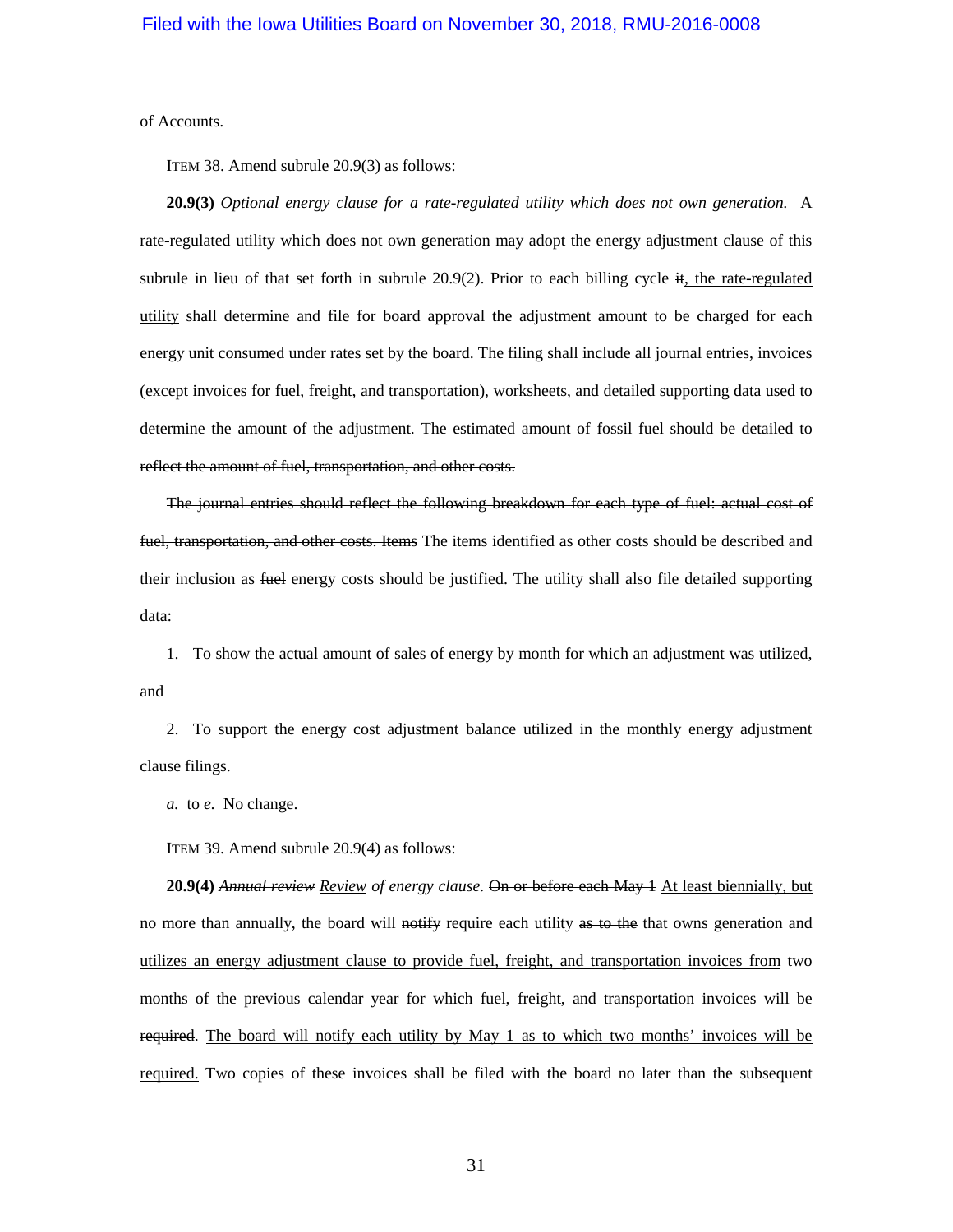of Accounts.

ITEM 38. Amend subrule 20.9(3) as follows:

**20.9(3)** *Optional energy clause for a rate-regulated utility which does not own generation.* A rate-regulated utility which does not own generation may adopt the energy adjustment clause of this subrule in lieu of that set forth in subrule  $20.9(2)$ . Prior to each billing cycle it, the rate-regulated utility shall determine and file for board approval the adjustment amount to be charged for each energy unit consumed under rates set by the board. The filing shall include all journal entries, invoices (except invoices for fuel, freight, and transportation), worksheets, and detailed supporting data used to determine the amount of the adjustment. The estimated amount of fossil fuel should be detailed to reflect the amount of fuel, transportation, and other costs.

The journal entries should reflect the following breakdown for each type of fuel: actual cost of fuel, transportation, and other costs. Items The items identified as other costs should be described and their inclusion as fuel energy costs should be justified. The utility shall also file detailed supporting data:

1. To show the actual amount of sales of energy by month for which an adjustment was utilized, and

2. To support the energy cost adjustment balance utilized in the monthly energy adjustment clause filings.

*a.* to *e.* No change.

ITEM 39. Amend subrule 20.9(4) as follows:

**20.9(4)** *Annual review Review of energy clause.* On or before each May 1 At least biennially, but no more than annually, the board will notify require each utility as to the that owns generation and utilizes an energy adjustment clause to provide fuel, freight, and transportation invoices from two months of the previous calendar year for which fuel, freight, and transportation invoices will be required. The board will notify each utility by May 1 as to which two months' invoices will be required. Two copies of these invoices shall be filed with the board no later than the subsequent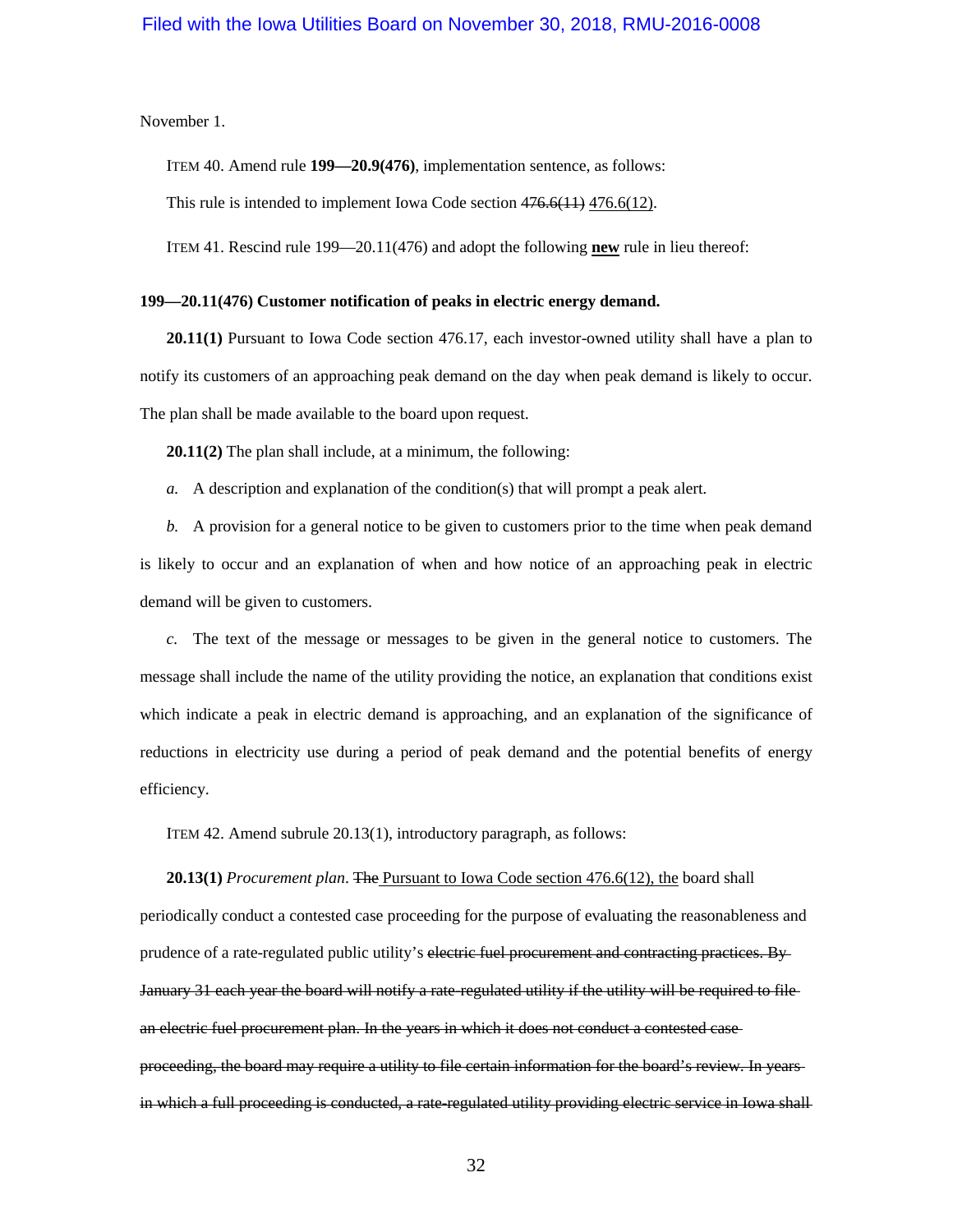November 1.

ITEM 40. Amend rule **199—20.9(476)**, implementation sentence, as follows:

This rule is intended to implement Iowa Code sectio[n 476.6\(11\)](https://www.legis.iowa.gov/docs/ico/section/2018/476.6.pdf) [476.6\(12\).](https://www.legis.iowa.gov/docs/ico/section/2018/476.6.pdf)

ITEM 41. Rescind rule 199—20.11(476) and adopt the following **new** rule in lieu thereof:

#### **199—20.11(476) Customer notification of peaks in electric energy demand.**

**20.11(1)** Pursuant to Iowa Code section 476.17, each investor-owned utility shall have a plan to notify its customers of an approaching peak demand on the day when peak demand is likely to occur. The plan shall be made available to the board upon request.

**20.11(2)** The plan shall include, at a minimum, the following:

*a.* A description and explanation of the condition(s) that will prompt a peak alert.

*b.* A provision for a general notice to be given to customers prior to the time when peak demand is likely to occur and an explanation of when and how notice of an approaching peak in electric demand will be given to customers.

*c.* The text of the message or messages to be given in the general notice to customers. The message shall include the name of the utility providing the notice, an explanation that conditions exist which indicate a peak in electric demand is approaching, and an explanation of the significance of reductions in electricity use during a period of peak demand and the potential benefits of energy efficiency.

ITEM 42. Amend subrule 20.13(1), introductory paragraph, as follows:

**20.13(1)** *Procurement plan*. The Pursuant to Iowa Code section 476.6(12), the board shall periodically conduct a contested case proceeding for the purpose of evaluating the reasonableness and prudence of a rate-regulated public utility's electric fuel procurement and contracting practices. By January 31 each year the board will notify a rate-regulated utility if the utility will be required to file an electric fuel procurement plan. In the years in which it does not conduct a contested case proceeding, the board may require a utility to file certain information for the board's review. In years in which a full proceeding is conducted, a rate-regulated utility providing electric service in Iowa shall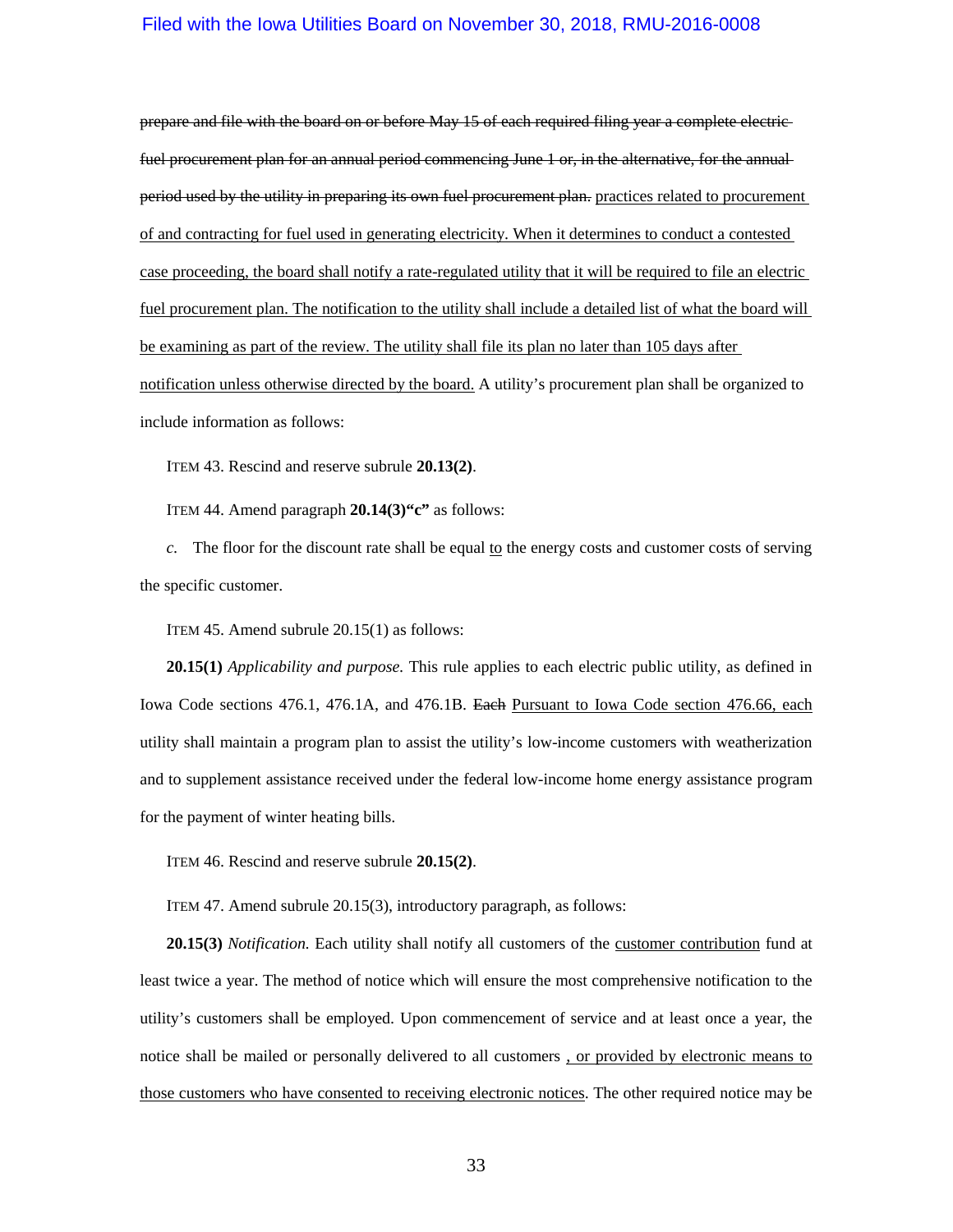prepare and file with the board on or before May 15 of each required filing year a complete electric fuel procurement plan for an annual period commencing June 1 or, in the alternative, for the annual period used by the utility in preparing its own fuel procurement plan. practices related to procurement of and contracting for fuel used in generating electricity. When it determines to conduct a contested case proceeding, the board shall notify a rate-regulated utility that it will be required to file an electric fuel procurement plan. The notification to the utility shall include a detailed list of what the board will be examining as part of the review. The utility shall file its plan no later than 105 days after notification unless otherwise directed by the board. A utility's procurement plan shall be organized to include information as follows:

ITEM 43. Rescind and reserve subrule **20.13(2)**.

ITEM 44. Amend paragraph **20.14(3)"c"** as follows:

*c.* The floor for the discount rate shall be equal to the energy costs and customer costs of serving the specific customer.

ITEM 45. Amend subrule 20.15(1) as follows:

**20.15(1)** *Applicability and purpose.* This rule applies to each electric public utility, as defined in Iowa Code sections [476.1,](https://www.legis.iowa.gov/docs/ico/section/2018/476.1.pdf) [476.1A,](https://www.legis.iowa.gov/docs/ico/section/2018/476.1A.pdf) and [476.1B.](https://www.legis.iowa.gov/docs/ico/section/2018/476.1B.pdf) Each Pursuant to Iowa Code section [476.66,](https://www.legis.iowa.gov/docs/ico/section/2018/476.66.pdf) each utility shall maintain a program plan to assist the utility's low-income customers with weatherization and to supplement assistance received under the federal low-income home energy assistance program for the payment of winter heating bills.

ITEM 46. Rescind and reserve subrule **20.15(2)**.

ITEM 47. Amend subrule 20.15(3), introductory paragraph, as follows:

**20.15(3)** *Notification.* Each utility shall notify all customers of the customer contribution fund at least twice a year. The method of notice which will ensure the most comprehensive notification to the utility's customers shall be employed. Upon commencement of service and at least once a year, the notice shall be mailed or personally delivered to all customers , or provided by electronic means to those customers who have consented to receiving electronic notices. The other required notice may be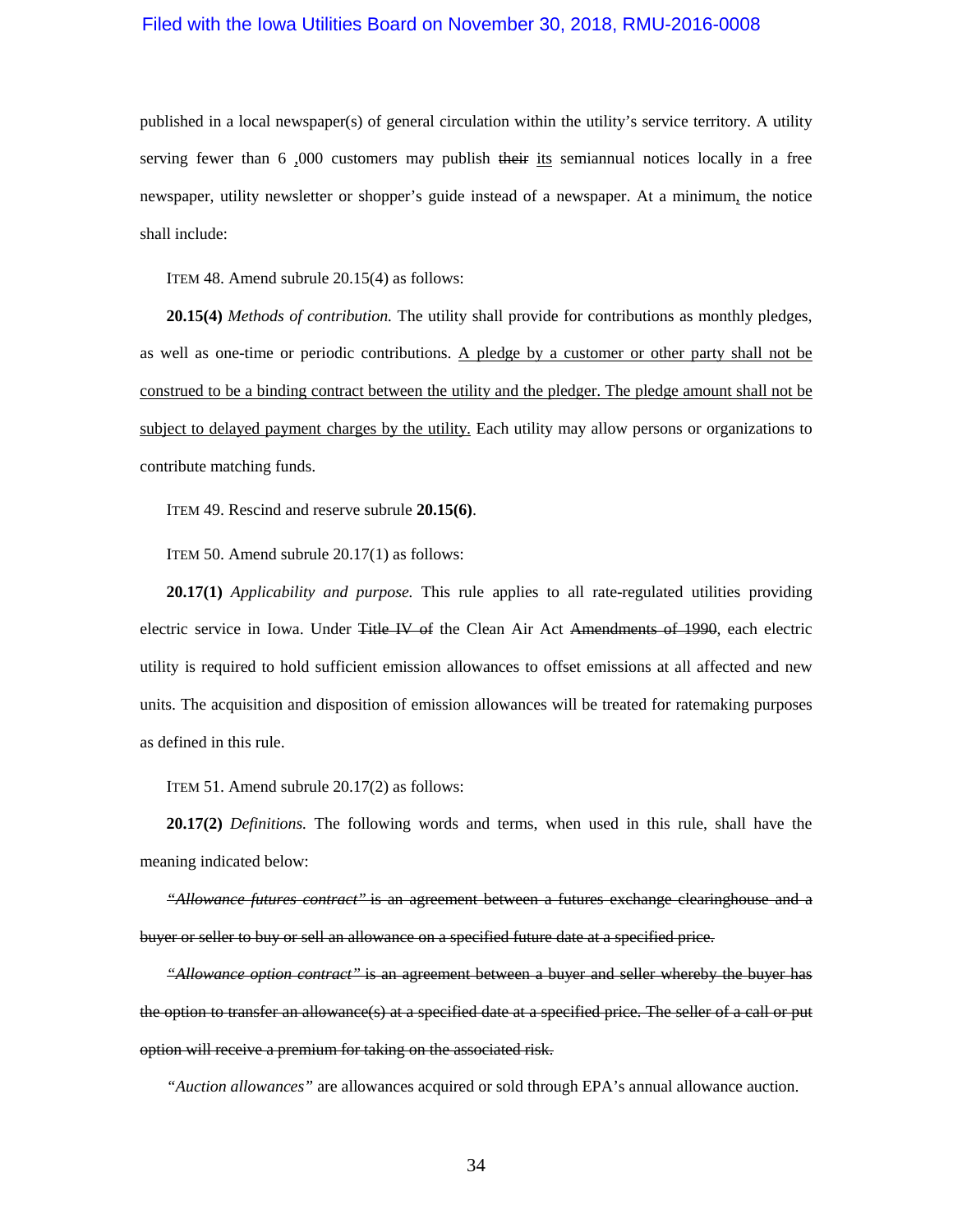published in a local newspaper(s) of general circulation within the utility's service territory. A utility serving fewer than  $6,000$  customers may publish their its semiannual notices locally in a free newspaper, utility newsletter or shopper's guide instead of a newspaper. At a minimum, the notice shall include:

ITEM 48. Amend subrule 20.15(4) as follows:

**20.15(4)** *Methods of contribution.* The utility shall provide for contributions as monthly pledges, as well as one-time or periodic contributions. A pledge by a customer or other party shall not be construed to be a binding contract between the utility and the pledger. The pledge amount shall not be subject to delayed payment charges by the utility. Each utility may allow persons or organizations to contribute matching funds.

ITEM 49. Rescind and reserve subrule **20.15(6)**.

ITEM 50. Amend subrule 20.17(1) as follows:

**20.17(1)** *Applicability and purpose.* This rule applies to all rate-regulated utilities providing electric service in Iowa. Under Title IV of the Clean Air Act Amendments of 1990, each electric utility is required to hold sufficient emission allowances to offset emissions at all affected and new units. The acquisition and disposition of emission allowances will be treated for ratemaking purposes as defined in this rule.

ITEM 51. Amend subrule 20.17(2) as follows:

**20.17(2)** *Definitions.* The following words and terms, when used in this rule, shall have the meaning indicated below:

*"Allowance futures contract"* is an agreement between a futures exchange clearinghouse and a buyer or seller to buy or sell an allowance on a specified future date at a specified price.

*"Allowance option contract"* is an agreement between a buyer and seller whereby the buyer has the option to transfer an allowance(s) at a specified date at a specified price. The seller of a call or put option will receive a premium for taking on the associated risk.

*"Auction allowances"* are allowances acquired or sold through EPA's annual allowance auction.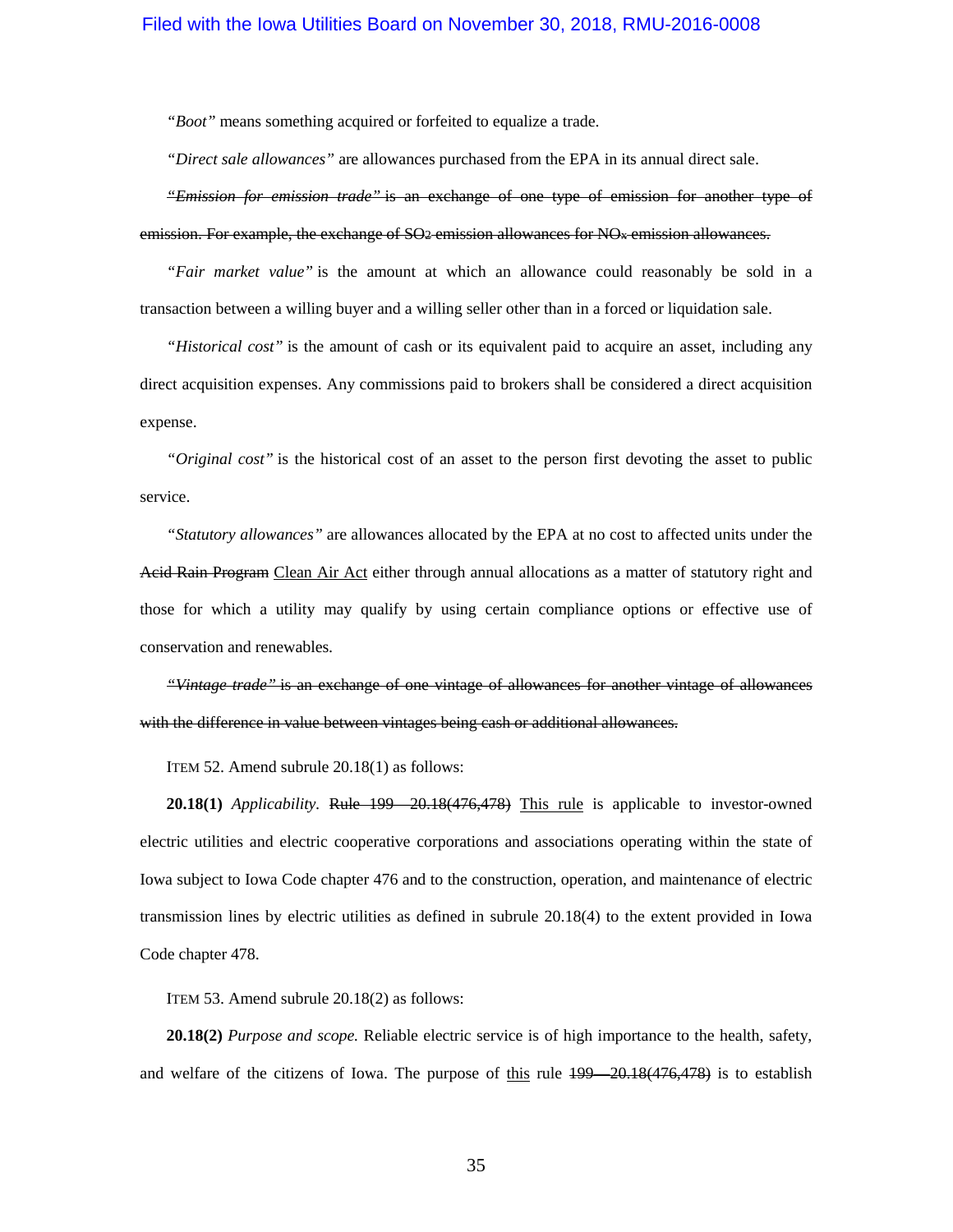*"Boot"* means something acquired or forfeited to equalize a trade.

*"Direct sale allowances"* are allowances purchased from the EPA in its annual direct sale.

*"Emission for emission trade"* is an exchange of one type of emission for another type of emission. For example, the exchange of SO<sub>2</sub> emission allowances for NO<sub>x</sub> emission allowances.

*"Fair market value"* is the amount at which an allowance could reasonably be sold in a transaction between a willing buyer and a willing seller other than in a forced or liquidation sale.

*"Historical cost"* is the amount of cash or its equivalent paid to acquire an asset, including any direct acquisition expenses. Any commissions paid to brokers shall be considered a direct acquisition expense.

*"Original cost"* is the historical cost of an asset to the person first devoting the asset to public service.

*"Statutory allowances"* are allowances allocated by the EPA at no cost to affected units under the Acid Rain Program Clean Air Act either through annual allocations as a matter of statutory right and those for which a utility may qualify by using certain compliance options or effective use of conservation and renewables.

*"Vintage trade"* is an exchange of one vintage of allowances for another vintage of allowances with the difference in value between vintages being cash or additional allowances.

ITEM 52. Amend subrule 20.18(1) as follows:

**20.18(1)** *Applicability.* Rule [199—20.18\(](https://www.legis.iowa.gov/docs/iac/rule/199.20.18.pdf)476,478) This rule is applicable to investor-owned electric utilities and electric cooperative corporations and associations operating within the state of Iowa subject to Iowa Code chapter [476](https://www.legis.iowa.gov/docs/ico/chapter/476.pdf) and to the construction, operation, and maintenance of electric transmission lines by electric utilities as defined in subrule [20.18\(4\)](https://www.legis.iowa.gov/docs/iac/rule/199.20.18.pdf) to the extent provided in Iowa Code chapter [478.](https://www.legis.iowa.gov/docs/ico/chapter/478.pdf)

ITEM 53. Amend subrule 20.18(2) as follows:

**20.18(2)** *Purpose and scope.* Reliable electric service is of high importance to the health, safety, and welfare of the citizens of Iowa. The purpose of this rule  $199 - 20.18(476,478)$  is to establish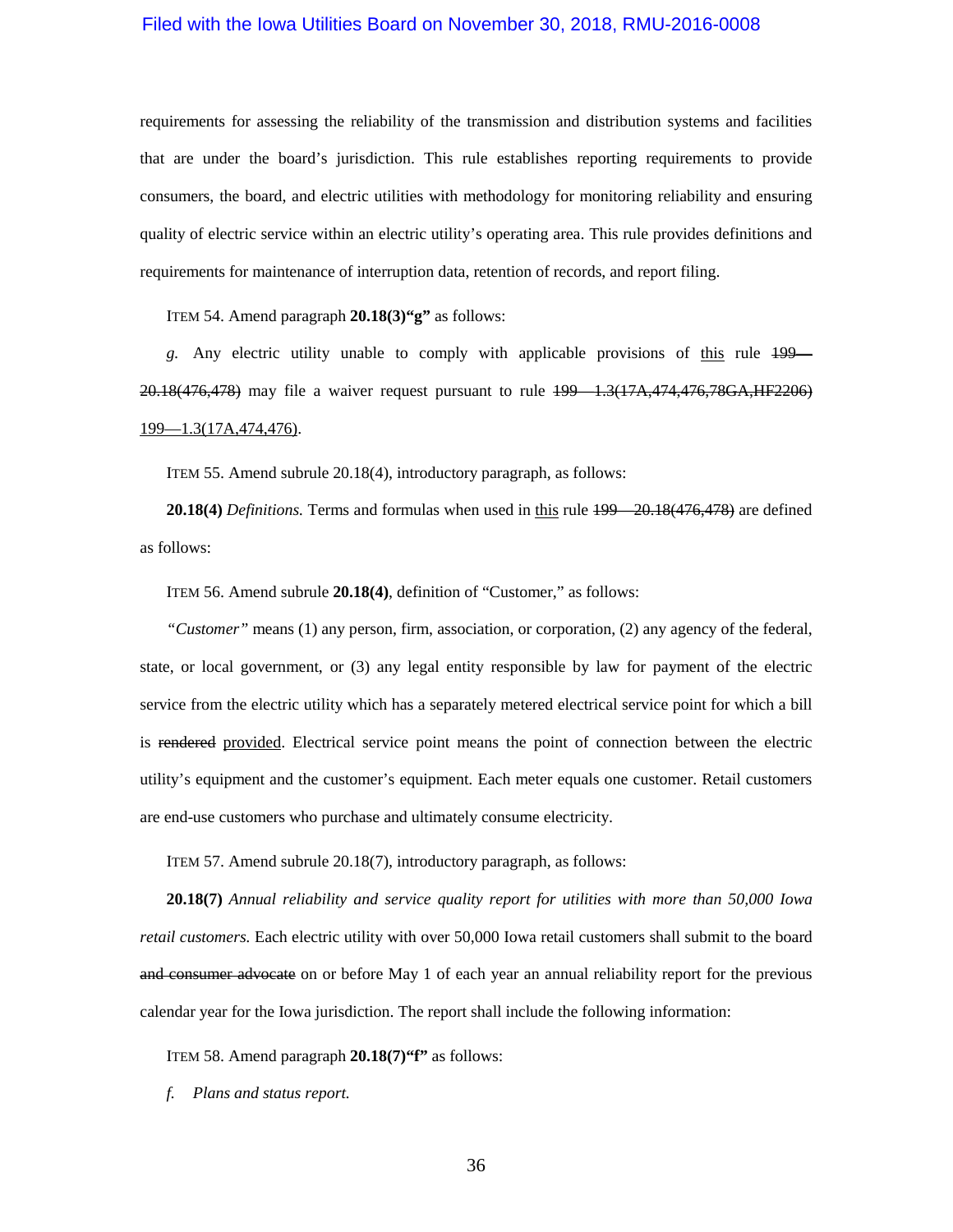requirements for assessing the reliability of the transmission and distribution systems and facilities that are under the board's jurisdiction. This rule establishes reporting requirements to provide consumers, the board, and electric utilities with methodology for monitoring reliability and ensuring quality of electric service within an electric utility's operating area. This rule provides definitions and requirements for maintenance of interruption data, retention of records, and report filing.

ITEM 54. Amend paragraph **20.18(3)"g"** as follows:

*g.* Any electric utility unable to comply with applicable provisions of this rule [199—](https://www.legis.iowa.gov/docs/iac/rule/199.20.18.pdf) [20.18\(](https://www.legis.iowa.gov/docs/iac/rule/199.20.18.pdf)476,478) may file a waiver request pursuant to rule [199—1.3\(](https://www.legis.iowa.gov/docs/iac/rule/199.1.3.pdf)17A,474,476,78GA,HF2206) [199—1.3\(](https://www.legis.iowa.gov/docs/iac/rule/199.1.3.pdf)17A,474,476).

ITEM 55. Amend subrule 20.18(4), introductory paragraph, as follows:

**20.18(4)** *Definitions.* Terms and formulas when used in this rule [199—20.18\(](https://www.legis.iowa.gov/docs/iac/rule/199.20.18.pdf)476,478) are defined as follows:

ITEM 56. Amend subrule **20.18(4)**, definition of "Customer," as follows:

*"Customer"* means (1) any person, firm, association, or corporation, (2) any agency of the federal, state, or local government, or (3) any legal entity responsible by law for payment of the electric service from the electric utility which has a separately metered electrical service point for which a bill is rendered provided. Electrical service point means the point of connection between the electric utility's equipment and the customer's equipment. Each meter equals one customer. Retail customers are end-use customers who purchase and ultimately consume electricity.

ITEM 57. Amend subrule 20.18(7), introductory paragraph, as follows:

**20.18(7)** *Annual reliability and service quality report for utilities with more than 50,000 Iowa retail customers.* Each electric utility with over 50,000 Iowa retail customers shall submit to the board and consumer advocate on or before May 1 of each year an annual reliability report for the previous calendar year for the Iowa jurisdiction. The report shall include the following information:

ITEM 58. Amend paragraph **20.18(7)"f"** as follows:

*f. Plans and status report.*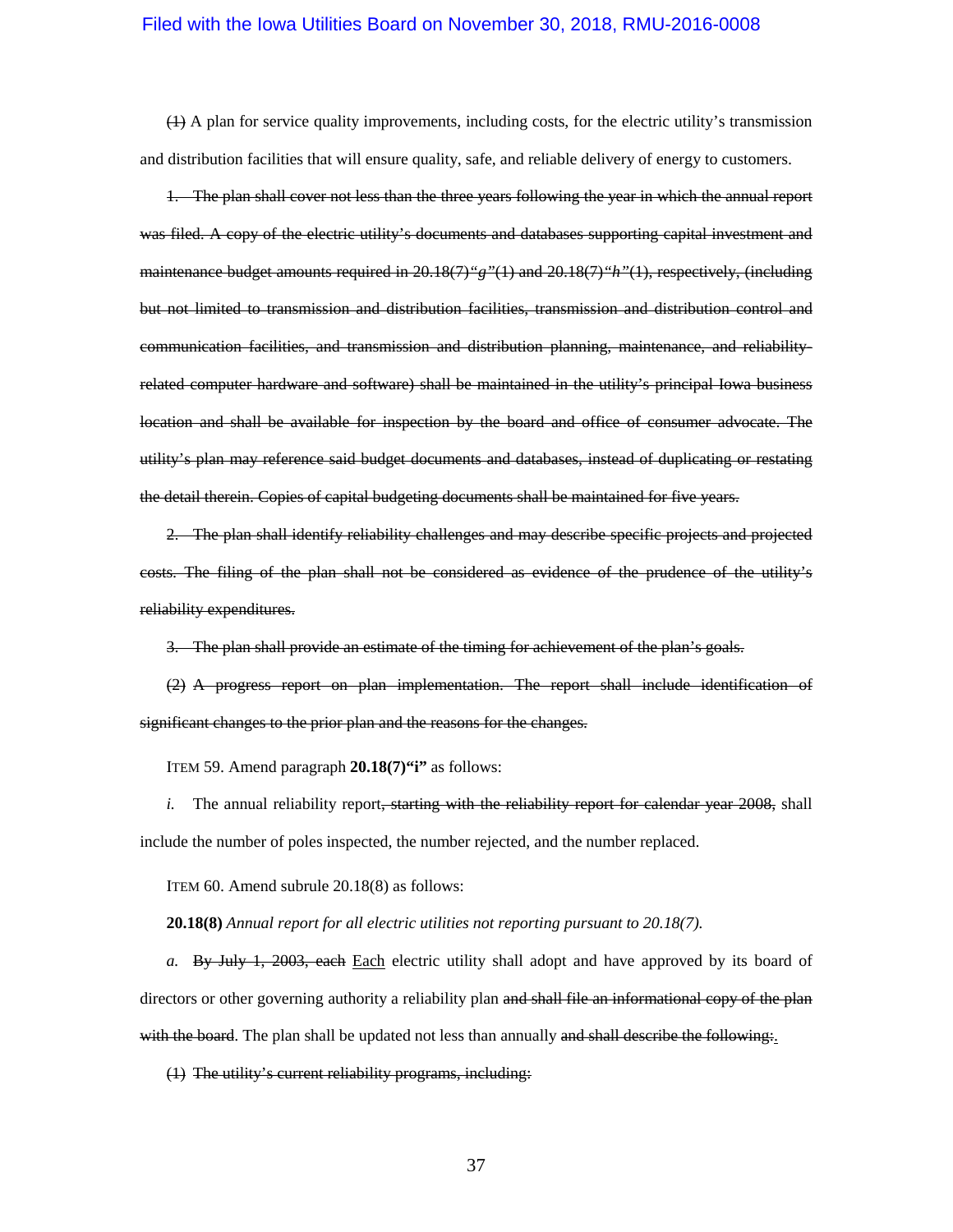(1) A plan for service quality improvements, including costs, for the electric utility's transmission and distribution facilities that will ensure quality, safe, and reliable delivery of energy to customers.

1. The plan shall cover not less than the three years following the year in which the annual report was filed. A copy of the electric utility's documents and databases supporting capital investment and maintenance budget amounts required in 20.18(7)*"g"*(1) and 20.18(7)*"h"*(1), respectively, (including but not limited to transmission and distribution facilities, transmission and distribution control and communication facilities, and transmission and distribution planning, maintenance, and reliabilityrelated computer hardware and software) shall be maintained in the utility's principal Iowa business location and shall be available for inspection by the board and office of consumer advocate. The utility's plan may reference said budget documents and databases, instead of duplicating or restating the detail therein. Copies of capital budgeting documents shall be maintained for five years.

2. The plan shall identify reliability challenges and may describe specific projects and projected costs. The filing of the plan shall not be considered as evidence of the prudence of the utility's reliability expenditures.

3. The plan shall provide an estimate of the timing for achievement of the plan's goals.

(2) A progress report on plan implementation. The report shall include identification of significant changes to the prior plan and the reasons for the changes.

ITEM 59. Amend paragraph **20.18(7)"i"** as follows:

*i.* The annual reliability report, starting with the reliability report for calendar year 2008, shall include the number of poles inspected, the number rejected, and the number replaced.

ITEM 60. Amend subrule 20.18(8) as follows:

**20.18(8)** *Annual report for all electric utilities not reporting pursuant to 20.18(7).*

*a.* By July 1, 2003, each Each electric utility shall adopt and have approved by its board of directors or other governing authority a reliability plan and shall file an informational copy of the plan with the board. The plan shall be updated not less than annually and shall describe the following.

(1) The utility's current reliability programs, including: